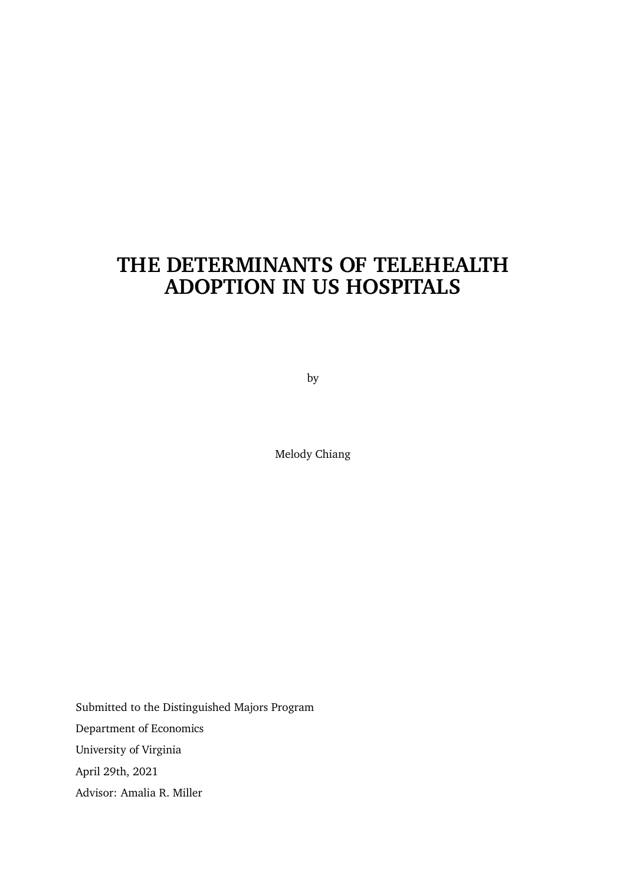# <span id="page-0-0"></span>**THE DETERMINANTS OF TELEHEALTH ADOPTION IN US HOSPITALS**

by

Melody Chiang

Submitted to the Distinguished Majors Program Department of Economics University of Virginia April 29th, 2021 Advisor: Amalia R. Miller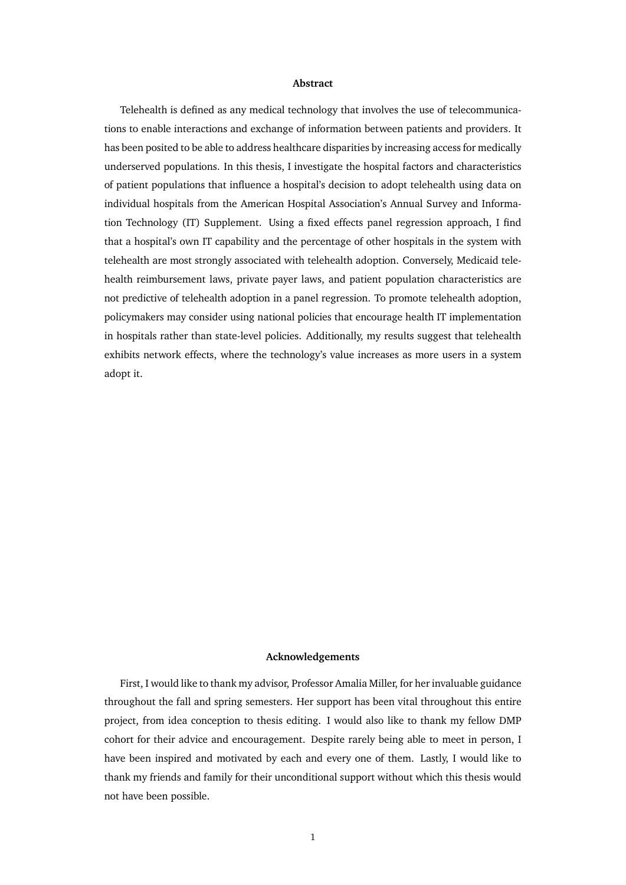#### **Abstract**

Telehealth is defined as any medical technology that involves the use of telecommunications to enable interactions and exchange of information between patients and providers. It has been posited to be able to address healthcare disparities by increasing access for medically underserved populations. In this thesis, I investigate the hospital factors and characteristics of patient populations that influence a hospital's decision to adopt telehealth using data on individual hospitals from the American Hospital Association's Annual Survey and Information Technology (IT) Supplement. Using a fixed effects panel regression approach, I find that a hospital's own IT capability and the percentage of other hospitals in the system with telehealth are most strongly associated with telehealth adoption. Conversely, Medicaid telehealth reimbursement laws, private payer laws, and patient population characteristics are not predictive of telehealth adoption in a panel regression. To promote telehealth adoption, policymakers may consider using national policies that encourage health IT implementation in hospitals rather than state-level policies. Additionally, my results suggest that telehealth exhibits network effects, where the technology's value increases as more users in a system adopt it.

#### **Acknowledgements**

First, I would like to thank my advisor, Professor Amalia Miller, for her invaluable guidance throughout the fall and spring semesters. Her support has been vital throughout this entire project, from idea conception to thesis editing. I would also like to thank my fellow DMP cohort for their advice and encouragement. Despite rarely being able to meet in person, I have been inspired and motivated by each and every one of them. Lastly, I would like to thank my friends and family for their unconditional support without which this thesis would not have been possible.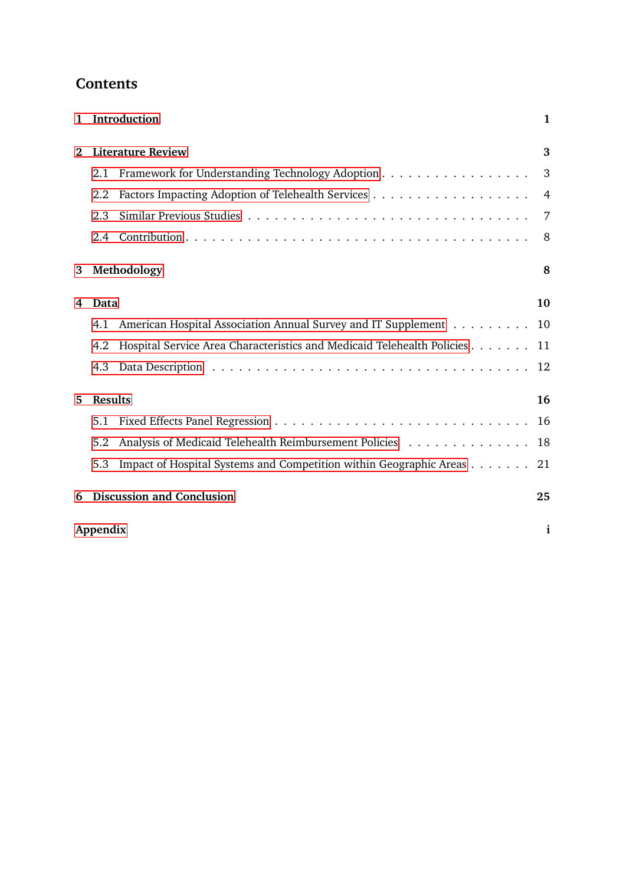| <b>Contents</b> |
|-----------------|
|-----------------|

| 1        |                | Introduction                                                              | 1  |
|----------|----------------|---------------------------------------------------------------------------|----|
| $\bf{2}$ |                | <b>Literature Review</b>                                                  | 3  |
|          | 2.1            | Framework for Understanding Technology Adoption                           | 3  |
|          | 2.2            |                                                                           | 4  |
|          | 2.3            |                                                                           | 7  |
|          | 2.4            |                                                                           | 8  |
| 3        |                | Methodology                                                               | 8  |
| 4        | Data           |                                                                           | 10 |
|          | 4.1            | American Hospital Association Annual Survey and IT Supplement 10          |    |
|          | 4.2            | Hospital Service Area Characteristics and Medicaid Telehealth Policies 11 |    |
|          | 4.3            |                                                                           |    |
| 5        | <b>Results</b> |                                                                           | 16 |
|          | 5.1            |                                                                           |    |
|          | 5.2            | Analysis of Medicaid Telehealth Reimbursement Policies 18                 |    |
|          | 5.3            | Impact of Hospital Systems and Competition within Geographic Areas 21     |    |
| 6        |                | <b>Discussion and Conclusion</b>                                          | 25 |
|          | Appendix       |                                                                           | i  |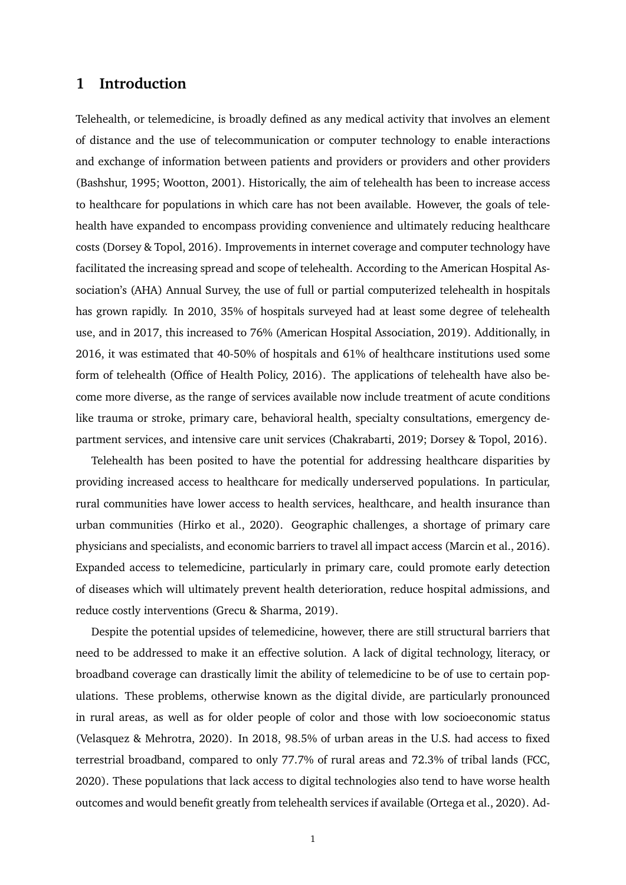## <span id="page-3-0"></span>**1 Introduction**

Telehealth, or telemedicine, is broadly defined as any medical activity that involves an element of distance and the use of telecommunication or computer technology to enable interactions and exchange of information between patients and providers or providers and other providers (Bashshur, 1995; Wootton, 2001). Historically, the aim of telehealth has been to increase access to healthcare for populations in which care has not been available. However, the goals of telehealth have expanded to encompass providing convenience and ultimately reducing healthcare costs (Dorsey & Topol, 2016). Improvements in internet coverage and computer technology have facilitated the increasing spread and scope of telehealth. According to the American Hospital Association's (AHA) Annual Survey, the use of full or partial computerized telehealth in hospitals has grown rapidly. In 2010, 35% of hospitals surveyed had at least some degree of telehealth use, and in 2017, this increased to 76% (American Hospital Association, 2019). Additionally, in 2016, it was estimated that 40-50% of hospitals and 61% of healthcare institutions used some form of telehealth (Office of Health Policy, 2016). The applications of telehealth have also become more diverse, as the range of services available now include treatment of acute conditions like trauma or stroke, primary care, behavioral health, specialty consultations, emergency department services, and intensive care unit services (Chakrabarti, 2019; Dorsey & Topol, 2016).

Telehealth has been posited to have the potential for addressing healthcare disparities by providing increased access to healthcare for medically underserved populations. In particular, rural communities have lower access to health services, healthcare, and health insurance than urban communities (Hirko et al., 2020). Geographic challenges, a shortage of primary care physicians and specialists, and economic barriers to travel all impact access (Marcin et al., 2016). Expanded access to telemedicine, particularly in primary care, could promote early detection of diseases which will ultimately prevent health deterioration, reduce hospital admissions, and reduce costly interventions (Grecu & Sharma, 2019).

Despite the potential upsides of telemedicine, however, there are still structural barriers that need to be addressed to make it an effective solution. A lack of digital technology, literacy, or broadband coverage can drastically limit the ability of telemedicine to be of use to certain populations. These problems, otherwise known as the digital divide, are particularly pronounced in rural areas, as well as for older people of color and those with low socioeconomic status (Velasquez & Mehrotra, 2020). In 2018, 98.5% of urban areas in the U.S. had access to fixed terrestrial broadband, compared to only 77.7% of rural areas and 72.3% of tribal lands (FCC, 2020). These populations that lack access to digital technologies also tend to have worse health outcomes and would benefit greatly from telehealth services if available (Ortega et al., 2020). Ad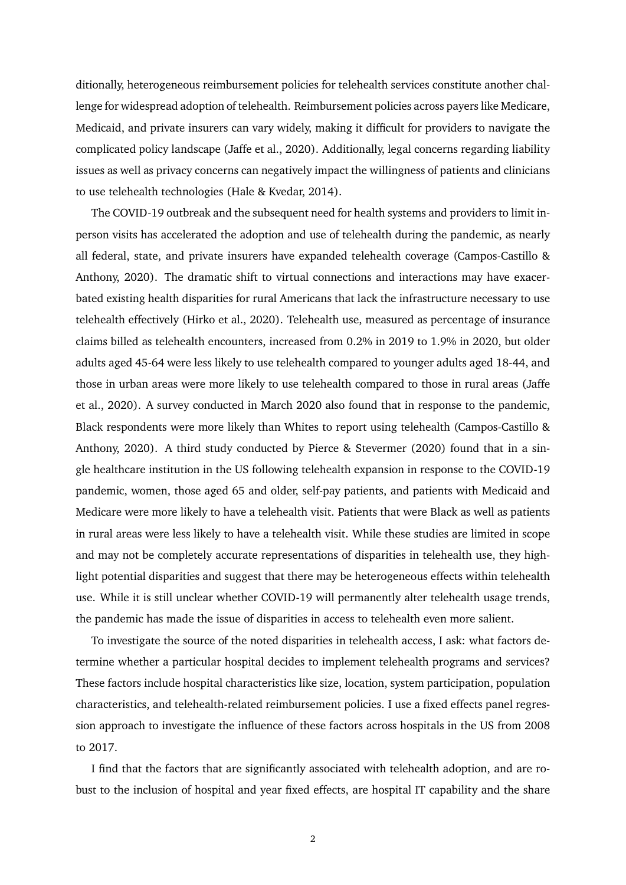ditionally, heterogeneous reimbursement policies for telehealth services constitute another challenge for widespread adoption of telehealth. Reimbursement policies across payers like Medicare, Medicaid, and private insurers can vary widely, making it difficult for providers to navigate the complicated policy landscape (Jaffe et al., 2020). Additionally, legal concerns regarding liability issues as well as privacy concerns can negatively impact the willingness of patients and clinicians to use telehealth technologies (Hale & Kvedar, 2014).

The COVID-19 outbreak and the subsequent need for health systems and providers to limit inperson visits has accelerated the adoption and use of telehealth during the pandemic, as nearly all federal, state, and private insurers have expanded telehealth coverage (Campos-Castillo & Anthony, 2020). The dramatic shift to virtual connections and interactions may have exacerbated existing health disparities for rural Americans that lack the infrastructure necessary to use telehealth effectively (Hirko et al., 2020). Telehealth use, measured as percentage of insurance claims billed as telehealth encounters, increased from 0.2% in 2019 to 1.9% in 2020, but older adults aged 45-64 were less likely to use telehealth compared to younger adults aged 18-44, and those in urban areas were more likely to use telehealth compared to those in rural areas (Jaffe et al., 2020). A survey conducted in March 2020 also found that in response to the pandemic, Black respondents were more likely than Whites to report using telehealth (Campos-Castillo & Anthony, 2020). A third study conducted by Pierce & Stevermer (2020) found that in a single healthcare institution in the US following telehealth expansion in response to the COVID-19 pandemic, women, those aged 65 and older, self-pay patients, and patients with Medicaid and Medicare were more likely to have a telehealth visit. Patients that were Black as well as patients in rural areas were less likely to have a telehealth visit. While these studies are limited in scope and may not be completely accurate representations of disparities in telehealth use, they highlight potential disparities and suggest that there may be heterogeneous effects within telehealth use. While it is still unclear whether COVID-19 will permanently alter telehealth usage trends, the pandemic has made the issue of disparities in access to telehealth even more salient.

To investigate the source of the noted disparities in telehealth access, I ask: what factors determine whether a particular hospital decides to implement telehealth programs and services? These factors include hospital characteristics like size, location, system participation, population characteristics, and telehealth-related reimbursement policies. I use a fixed effects panel regression approach to investigate the influence of these factors across hospitals in the US from 2008 to 2017.

I find that the factors that are significantly associated with telehealth adoption, and are robust to the inclusion of hospital and year fixed effects, are hospital IT capability and the share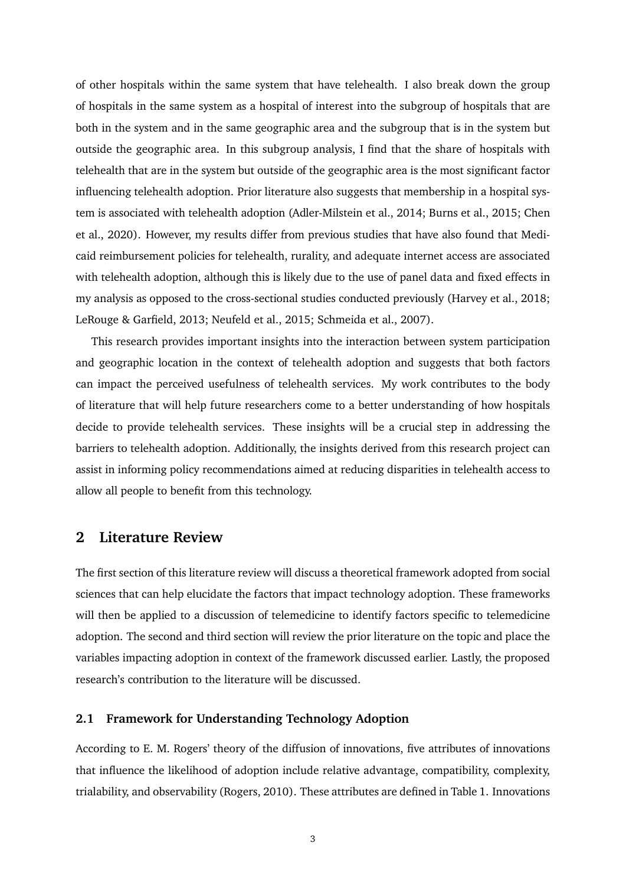of other hospitals within the same system that have telehealth. I also break down the group of hospitals in the same system as a hospital of interest into the subgroup of hospitals that are both in the system and in the same geographic area and the subgroup that is in the system but outside the geographic area. In this subgroup analysis, I find that the share of hospitals with telehealth that are in the system but outside of the geographic area is the most significant factor influencing telehealth adoption. Prior literature also suggests that membership in a hospital system is associated with telehealth adoption (Adler-Milstein et al., 2014; Burns et al., 2015; Chen et al., 2020). However, my results differ from previous studies that have also found that Medicaid reimbursement policies for telehealth, rurality, and adequate internet access are associated with telehealth adoption, although this is likely due to the use of panel data and fixed effects in my analysis as opposed to the cross-sectional studies conducted previously (Harvey et al., 2018; LeRouge & Garfield, 2013; Neufeld et al., 2015; Schmeida et al., 2007).

This research provides important insights into the interaction between system participation and geographic location in the context of telehealth adoption and suggests that both factors can impact the perceived usefulness of telehealth services. My work contributes to the body of literature that will help future researchers come to a better understanding of how hospitals decide to provide telehealth services. These insights will be a crucial step in addressing the barriers to telehealth adoption. Additionally, the insights derived from this research project can assist in informing policy recommendations aimed at reducing disparities in telehealth access to allow all people to benefit from this technology.

## <span id="page-5-0"></span>**2 Literature Review**

The first section of this literature review will discuss a theoretical framework adopted from social sciences that can help elucidate the factors that impact technology adoption. These frameworks will then be applied to a discussion of telemedicine to identify factors specific to telemedicine adoption. The second and third section will review the prior literature on the topic and place the variables impacting adoption in context of the framework discussed earlier. Lastly, the proposed research's contribution to the literature will be discussed.

#### <span id="page-5-1"></span>**2.1 Framework for Understanding Technology Adoption**

According to E. M. Rogers' theory of the diffusion of innovations, five attributes of innovations that influence the likelihood of adoption include relative advantage, compatibility, complexity, trialability, and observability (Rogers, 2010). These attributes are defined in Table 1. Innovations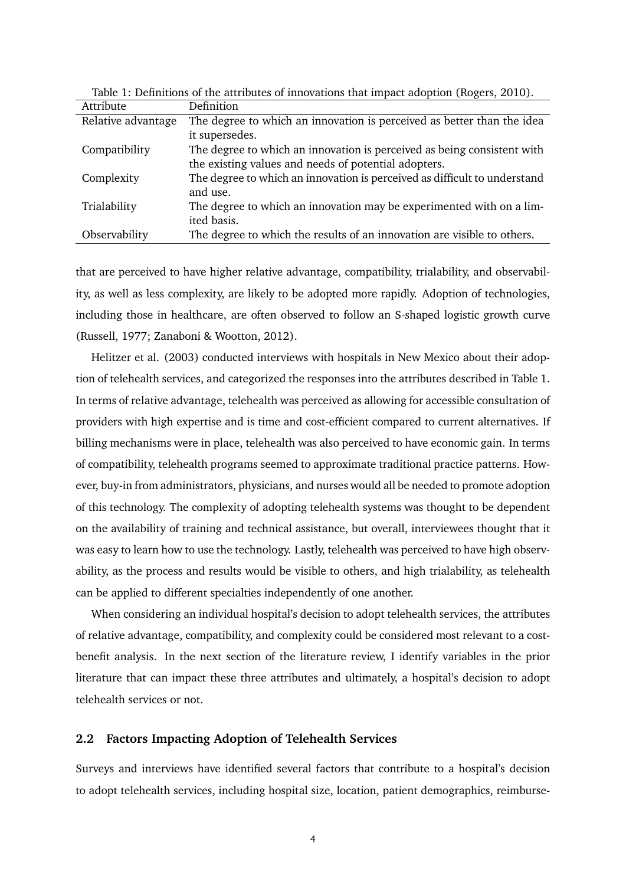| Definition                                                                |
|---------------------------------------------------------------------------|
| The degree to which an innovation is perceived as better than the idea    |
| it supersedes.                                                            |
| The degree to which an innovation is perceived as being consistent with   |
| the existing values and needs of potential adopters.                      |
| The degree to which an innovation is perceived as difficult to understand |
| and use.                                                                  |
| The degree to which an innovation may be experimented with on a lim-      |
| ited basis.                                                               |
| The degree to which the results of an innovation are visible to others.   |
|                                                                           |

Table 1: Definitions of the attributes of innovations that impact adoption (Rogers, 2010).

that are perceived to have higher relative advantage, compatibility, trialability, and observability, as well as less complexity, are likely to be adopted more rapidly. Adoption of technologies, including those in healthcare, are often observed to follow an S-shaped logistic growth curve (Russell, 1977; Zanaboni & Wootton, 2012).

Helitzer et al. (2003) conducted interviews with hospitals in New Mexico about their adoption of telehealth services, and categorized the responses into the attributes described in Table 1. In terms of relative advantage, telehealth was perceived as allowing for accessible consultation of providers with high expertise and is time and cost-efficient compared to current alternatives. If billing mechanisms were in place, telehealth was also perceived to have economic gain. In terms of compatibility, telehealth programs seemed to approximate traditional practice patterns. However, buy-in from administrators, physicians, and nurses would all be needed to promote adoption of this technology. The complexity of adopting telehealth systems was thought to be dependent on the availability of training and technical assistance, but overall, interviewees thought that it was easy to learn how to use the technology. Lastly, telehealth was perceived to have high observability, as the process and results would be visible to others, and high trialability, as telehealth can be applied to different specialties independently of one another.

When considering an individual hospital's decision to adopt telehealth services, the attributes of relative advantage, compatibility, and complexity could be considered most relevant to a costbenefit analysis. In the next section of the literature review, I identify variables in the prior literature that can impact these three attributes and ultimately, a hospital's decision to adopt telehealth services or not.

#### <span id="page-6-0"></span>**2.2 Factors Impacting Adoption of Telehealth Services**

Surveys and interviews have identified several factors that contribute to a hospital's decision to adopt telehealth services, including hospital size, location, patient demographics, reimburse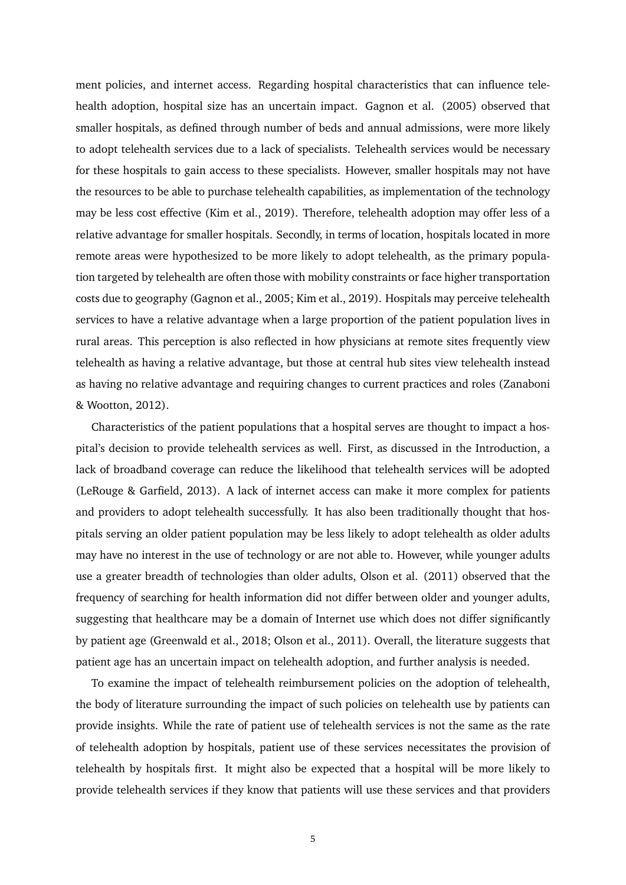ment policies, and internet access. Regarding hospital characteristics that can influence telehealth adoption, hospital size has an uncertain impact. Gagnon et al. (2005) observed that smaller hospitals, as defined through number of beds and annual admissions, were more likely to adopt telehealth services due to a lack of specialists. Telehealth services would be necessary for these hospitals to gain access to these specialists. However, smaller hospitals may not have the resources to be able to purchase telehealth capabilities, as implementation of the technology may be less cost effective (Kim et al., 2019). Therefore, telehealth adoption may offer less of a relative advantage for smaller hospitals. Secondly, in terms of location, hospitals located in more remote areas were hypothesized to be more likely to adopt telehealth, as the primary population targeted by telehealth are often those with mobility constraints or face higher transportation costs due to geography (Gagnon et al., 2005; Kim et al., 2019). Hospitals may perceive telehealth services to have a relative advantage when a large proportion of the patient population lives in rural areas. This perception is also reflected in how physicians at remote sites frequently view telehealth as having a relative advantage, but those at central hub sites view telehealth instead as having no relative advantage and requiring changes to current practices and roles (Zanaboni & Wootton, 2012).

Characteristics of the patient populations that a hospital serves are thought to impact a hospital's decision to provide telehealth services as well. First, as discussed in the Introduction, a lack of broadband coverage can reduce the likelihood that telehealth services will be adopted (LeRouge & Garfield, 2013). A lack of internet access can make it more complex for patients and providers to adopt telehealth successfully. It has also been traditionally thought that hospitals serving an older patient population may be less likely to adopt telehealth as older adults may have no interest in the use of technology or are not able to. However, while younger adults use a greater breadth of technologies than older adults, Olson et al. (2011) observed that the frequency of searching for health information did not differ between older and younger adults, suggesting that healthcare may be a domain of Internet use which does not differ significantly by patient age (Greenwald et al., 2018; Olson et al., 2011). Overall, the literature suggests that patient age has an uncertain impact on telehealth adoption, and further analysis is needed.

To examine the impact of telehealth reimbursement policies on the adoption of telehealth, the body of literature surrounding the impact of such policies on telehealth use by patients can provide insights. While the rate of patient use of telehealth services is not the same as the rate of telehealth adoption by hospitals, patient use of these services necessitates the provision of telehealth by hospitals first. It might also be expected that a hospital will be more likely to provide telehealth services if they know that patients will use these services and that providers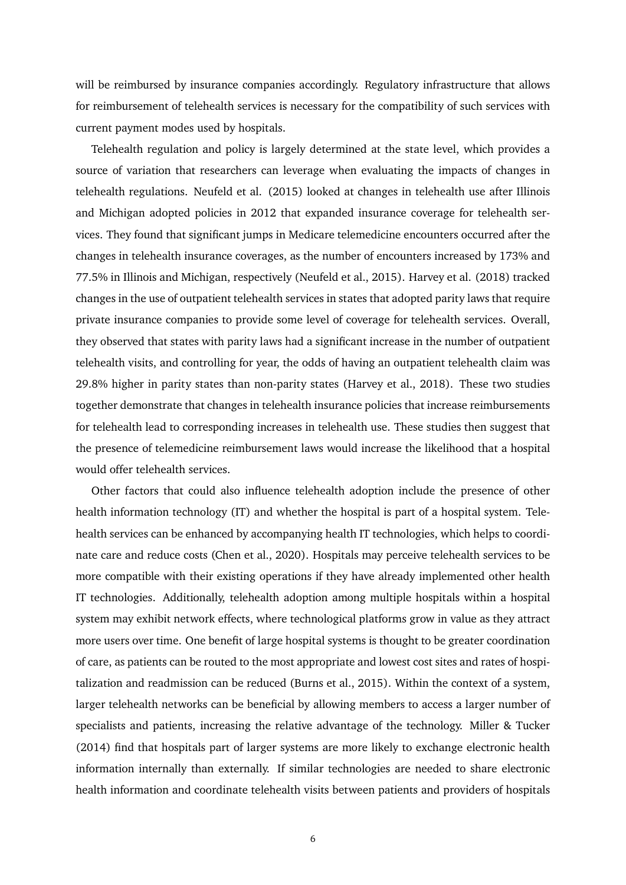will be reimbursed by insurance companies accordingly. Regulatory infrastructure that allows for reimbursement of telehealth services is necessary for the compatibility of such services with current payment modes used by hospitals.

Telehealth regulation and policy is largely determined at the state level, which provides a source of variation that researchers can leverage when evaluating the impacts of changes in telehealth regulations. Neufeld et al. (2015) looked at changes in telehealth use after Illinois and Michigan adopted policies in 2012 that expanded insurance coverage for telehealth services. They found that significant jumps in Medicare telemedicine encounters occurred after the changes in telehealth insurance coverages, as the number of encounters increased by 173% and 77.5% in Illinois and Michigan, respectively (Neufeld et al., 2015). Harvey et al. (2018) tracked changes in the use of outpatient telehealth services in states that adopted parity laws that require private insurance companies to provide some level of coverage for telehealth services. Overall, they observed that states with parity laws had a significant increase in the number of outpatient telehealth visits, and controlling for year, the odds of having an outpatient telehealth claim was 29.8% higher in parity states than non-parity states (Harvey et al., 2018). These two studies together demonstrate that changes in telehealth insurance policies that increase reimbursements for telehealth lead to corresponding increases in telehealth use. These studies then suggest that the presence of telemedicine reimbursement laws would increase the likelihood that a hospital would offer telehealth services.

Other factors that could also influence telehealth adoption include the presence of other health information technology (IT) and whether the hospital is part of a hospital system. Telehealth services can be enhanced by accompanying health IT technologies, which helps to coordinate care and reduce costs (Chen et al., 2020). Hospitals may perceive telehealth services to be more compatible with their existing operations if they have already implemented other health IT technologies. Additionally, telehealth adoption among multiple hospitals within a hospital system may exhibit network effects, where technological platforms grow in value as they attract more users over time. One benefit of large hospital systems is thought to be greater coordination of care, as patients can be routed to the most appropriate and lowest cost sites and rates of hospitalization and readmission can be reduced (Burns et al., 2015). Within the context of a system, larger telehealth networks can be beneficial by allowing members to access a larger number of specialists and patients, increasing the relative advantage of the technology. Miller & Tucker (2014) find that hospitals part of larger systems are more likely to exchange electronic health information internally than externally. If similar technologies are needed to share electronic health information and coordinate telehealth visits between patients and providers of hospitals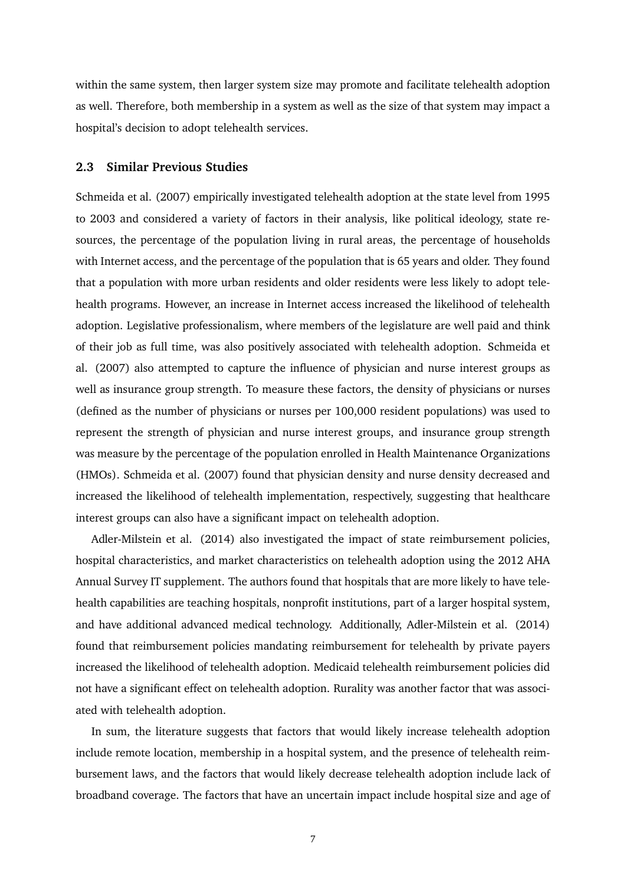within the same system, then larger system size may promote and facilitate telehealth adoption as well. Therefore, both membership in a system as well as the size of that system may impact a hospital's decision to adopt telehealth services.

#### <span id="page-9-0"></span>**2.3 Similar Previous Studies**

Schmeida et al. (2007) empirically investigated telehealth adoption at the state level from 1995 to 2003 and considered a variety of factors in their analysis, like political ideology, state resources, the percentage of the population living in rural areas, the percentage of households with Internet access, and the percentage of the population that is 65 years and older. They found that a population with more urban residents and older residents were less likely to adopt telehealth programs. However, an increase in Internet access increased the likelihood of telehealth adoption. Legislative professionalism, where members of the legislature are well paid and think of their job as full time, was also positively associated with telehealth adoption. Schmeida et al. (2007) also attempted to capture the influence of physician and nurse interest groups as well as insurance group strength. To measure these factors, the density of physicians or nurses (defined as the number of physicians or nurses per 100,000 resident populations) was used to represent the strength of physician and nurse interest groups, and insurance group strength was measure by the percentage of the population enrolled in Health Maintenance Organizations (HMOs). Schmeida et al. (2007) found that physician density and nurse density decreased and increased the likelihood of telehealth implementation, respectively, suggesting that healthcare interest groups can also have a significant impact on telehealth adoption.

Adler-Milstein et al. (2014) also investigated the impact of state reimbursement policies, hospital characteristics, and market characteristics on telehealth adoption using the 2012 AHA Annual Survey IT supplement. The authors found that hospitals that are more likely to have telehealth capabilities are teaching hospitals, nonprofit institutions, part of a larger hospital system, and have additional advanced medical technology. Additionally, Adler-Milstein et al. (2014) found that reimbursement policies mandating reimbursement for telehealth by private payers increased the likelihood of telehealth adoption. Medicaid telehealth reimbursement policies did not have a significant effect on telehealth adoption. Rurality was another factor that was associated with telehealth adoption.

In sum, the literature suggests that factors that would likely increase telehealth adoption include remote location, membership in a hospital system, and the presence of telehealth reimbursement laws, and the factors that would likely decrease telehealth adoption include lack of broadband coverage. The factors that have an uncertain impact include hospital size and age of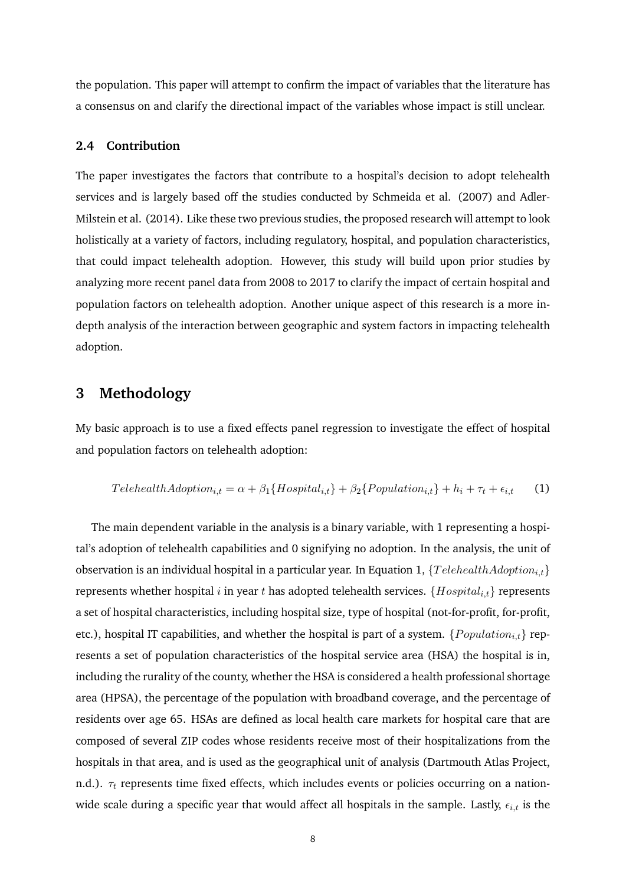the population. This paper will attempt to confirm the impact of variables that the literature has a consensus on and clarify the directional impact of the variables whose impact is still unclear.

#### <span id="page-10-0"></span>**2.4 Contribution**

The paper investigates the factors that contribute to a hospital's decision to adopt telehealth services and is largely based off the studies conducted by Schmeida et al. (2007) and Adler-Milstein et al. (2014). Like these two previous studies, the proposed research will attempt to look holistically at a variety of factors, including regulatory, hospital, and population characteristics, that could impact telehealth adoption. However, this study will build upon prior studies by analyzing more recent panel data from 2008 to 2017 to clarify the impact of certain hospital and population factors on telehealth adoption. Another unique aspect of this research is a more indepth analysis of the interaction between geographic and system factors in impacting telehealth adoption.

## <span id="page-10-1"></span>**3 Methodology**

My basic approach is to use a fixed effects panel regression to investigate the effect of hospital and population factors on telehealth adoption:

$$
TelehealthAdoption_{i,t} = \alpha + \beta_1 \{Hospital_{i,t}\} + \beta_2 \{Population_{i,t}\} + h_i + \tau_t + \epsilon_{i,t} \tag{1}
$$

The main dependent variable in the analysis is a binary variable, with 1 representing a hospital's adoption of telehealth capabilities and 0 signifying no adoption. In the analysis, the unit of observation is an individual hospital in a particular year. In Equation 1,  ${TeehealthAdoption_{i,t}}$ represents whether hospital i in year t has adopted telehealth services.  ${Hospital_{i,t}}$  represents a set of hospital characteristics, including hospital size, type of hospital (not-for-profit, for-profit, etc.), hospital IT capabilities, and whether the hospital is part of a system.  $\{Population_{i,t}\}$  represents a set of population characteristics of the hospital service area (HSA) the hospital is in, including the rurality of the county, whether the HSA is considered a health professional shortage area (HPSA), the percentage of the population with broadband coverage, and the percentage of residents over age 65. HSAs are defined as local health care markets for hospital care that are composed of several ZIP codes whose residents receive most of their hospitalizations from the hospitals in that area, and is used as the geographical unit of analysis (Dartmouth Atlas Project, n.d.).  $\tau_t$  represents time fixed effects, which includes events or policies occurring on a nationwide scale during a specific year that would affect all hospitals in the sample. Lastly,  $\epsilon_{i,t}$  is the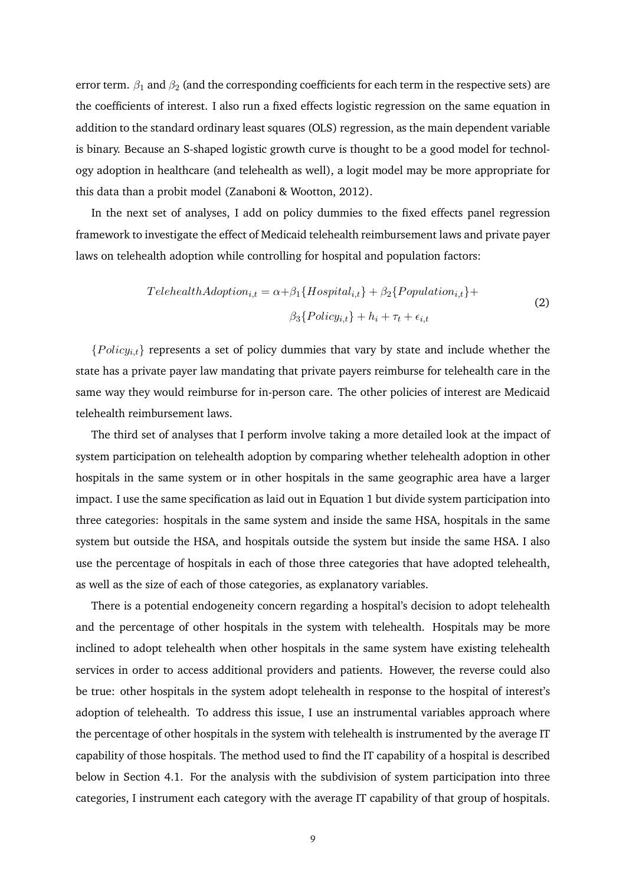error term.  $\beta_1$  and  $\beta_2$  (and the corresponding coefficients for each term in the respective sets) are the coefficients of interest. I also run a fixed effects logistic regression on the same equation in addition to the standard ordinary least squares (OLS) regression, as the main dependent variable is binary. Because an S-shaped logistic growth curve is thought to be a good model for technology adoption in healthcare (and telehealth as well), a logit model may be more appropriate for this data than a probit model (Zanaboni & Wootton, 2012).

In the next set of analyses, I add on policy dummies to the fixed effects panel regression framework to investigate the effect of Medicaid telehealth reimbursement laws and private payer laws on telehealth adoption while controlling for hospital and population factors:

$$
TelehealthAdoption_{i,t} = \alpha + \beta_1 \{ Hospital_{i,t}\} + \beta_2 \{Population_{i,t}\} + \beta_3 \{Policy_{i,t}\} + h_i + \tau_t + \epsilon_{i,t}
$$
\n
$$
(2)
$$

 ${Policy_{i,t}}$  represents a set of policy dummies that vary by state and include whether the state has a private payer law mandating that private payers reimburse for telehealth care in the same way they would reimburse for in-person care. The other policies of interest are Medicaid telehealth reimbursement laws.

The third set of analyses that I perform involve taking a more detailed look at the impact of system participation on telehealth adoption by comparing whether telehealth adoption in other hospitals in the same system or in other hospitals in the same geographic area have a larger impact. I use the same specification as laid out in Equation 1 but divide system participation into three categories: hospitals in the same system and inside the same HSA, hospitals in the same system but outside the HSA, and hospitals outside the system but inside the same HSA. I also use the percentage of hospitals in each of those three categories that have adopted telehealth, as well as the size of each of those categories, as explanatory variables.

There is a potential endogeneity concern regarding a hospital's decision to adopt telehealth and the percentage of other hospitals in the system with telehealth. Hospitals may be more inclined to adopt telehealth when other hospitals in the same system have existing telehealth services in order to access additional providers and patients. However, the reverse could also be true: other hospitals in the system adopt telehealth in response to the hospital of interest's adoption of telehealth. To address this issue, I use an instrumental variables approach where the percentage of other hospitals in the system with telehealth is instrumented by the average IT capability of those hospitals. The method used to find the IT capability of a hospital is described below in Section 4.1. For the analysis with the subdivision of system participation into three categories, I instrument each category with the average IT capability of that group of hospitals.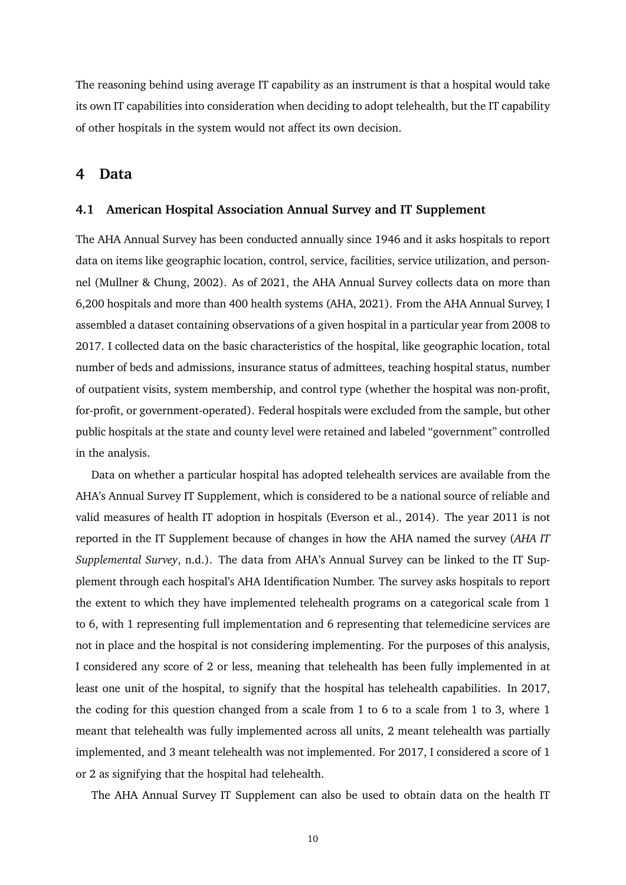The reasoning behind using average IT capability as an instrument is that a hospital would take its own IT capabilities into consideration when deciding to adopt telehealth, but the IT capability of other hospitals in the system would not affect its own decision.

### <span id="page-12-0"></span>**4 Data**

#### <span id="page-12-1"></span>**4.1 American Hospital Association Annual Survey and IT Supplement**

The AHA Annual Survey has been conducted annually since 1946 and it asks hospitals to report data on items like geographic location, control, service, facilities, service utilization, and personnel (Mullner & Chung, 2002). As of 2021, the AHA Annual Survey collects data on more than 6,200 hospitals and more than 400 health systems (AHA, 2021). From the AHA Annual Survey, I assembled a dataset containing observations of a given hospital in a particular year from 2008 to 2017. I collected data on the basic characteristics of the hospital, like geographic location, total number of beds and admissions, insurance status of admittees, teaching hospital status, number of outpatient visits, system membership, and control type (whether the hospital was non-profit, for-profit, or government-operated). Federal hospitals were excluded from the sample, but other public hospitals at the state and county level were retained and labeled "government" controlled in the analysis.

Data on whether a particular hospital has adopted telehealth services are available from the AHA's Annual Survey IT Supplement, which is considered to be a national source of reliable and valid measures of health IT adoption in hospitals (Everson et al., 2014). The year 2011 is not reported in the IT Supplement because of changes in how the AHA named the survey (*AHA IT Supplemental Survey*, n.d.). The data from AHA's Annual Survey can be linked to the IT Supplement through each hospital's AHA Identification Number. The survey asks hospitals to report the extent to which they have implemented telehealth programs on a categorical scale from 1 to 6, with 1 representing full implementation and 6 representing that telemedicine services are not in place and the hospital is not considering implementing. For the purposes of this analysis, I considered any score of 2 or less, meaning that telehealth has been fully implemented in at least one unit of the hospital, to signify that the hospital has telehealth capabilities. In 2017, the coding for this question changed from a scale from 1 to 6 to a scale from 1 to 3, where 1 meant that telehealth was fully implemented across all units, 2 meant telehealth was partially implemented, and 3 meant telehealth was not implemented. For 2017, I considered a score of 1 or 2 as signifying that the hospital had telehealth.

The AHA Annual Survey IT Supplement can also be used to obtain data on the health IT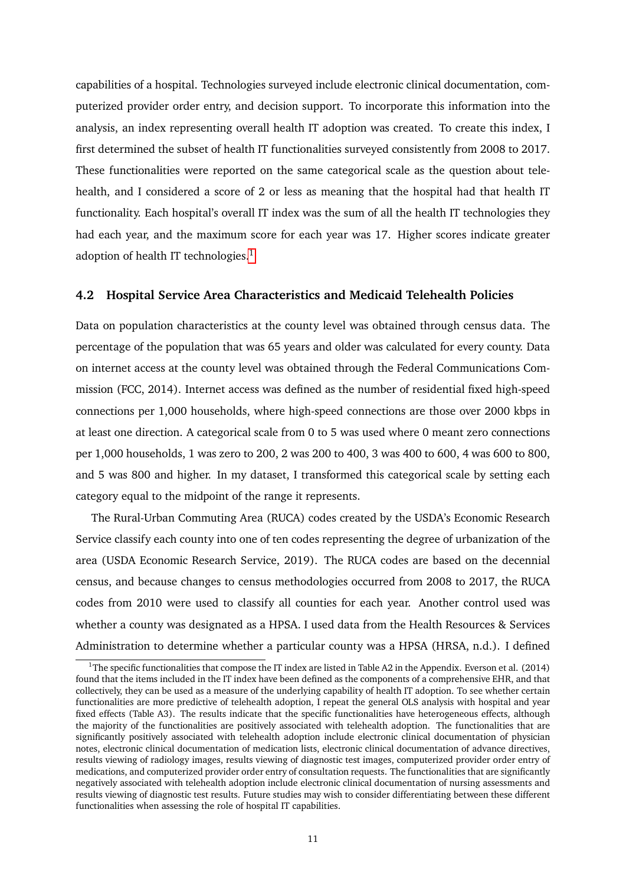capabilities of a hospital. Technologies surveyed include electronic clinical documentation, computerized provider order entry, and decision support. To incorporate this information into the analysis, an index representing overall health IT adoption was created. To create this index, I first determined the subset of health IT functionalities surveyed consistently from 2008 to 2017. These functionalities were reported on the same categorical scale as the question about telehealth, and I considered a score of 2 or less as meaning that the hospital had that health IT functionality. Each hospital's overall IT index was the sum of all the health IT technologies they had each year, and the maximum score for each year was 17. Higher scores indicate greater adoption of health IT technologies.<sup>[1](#page-0-0)</sup>

#### <span id="page-13-0"></span>**4.2 Hospital Service Area Characteristics and Medicaid Telehealth Policies**

Data on population characteristics at the county level was obtained through census data. The percentage of the population that was 65 years and older was calculated for every county. Data on internet access at the county level was obtained through the Federal Communications Commission (FCC, 2014). Internet access was defined as the number of residential fixed high-speed connections per 1,000 households, where high-speed connections are those over 2000 kbps in at least one direction. A categorical scale from 0 to 5 was used where 0 meant zero connections per 1,000 households, 1 was zero to 200, 2 was 200 to 400, 3 was 400 to 600, 4 was 600 to 800, and 5 was 800 and higher. In my dataset, I transformed this categorical scale by setting each category equal to the midpoint of the range it represents.

The Rural-Urban Commuting Area (RUCA) codes created by the USDA's Economic Research Service classify each county into one of ten codes representing the degree of urbanization of the area (USDA Economic Research Service, 2019). The RUCA codes are based on the decennial census, and because changes to census methodologies occurred from 2008 to 2017, the RUCA codes from 2010 were used to classify all counties for each year. Another control used was whether a county was designated as a HPSA. I used data from the Health Resources & Services Administration to determine whether a particular county was a HPSA (HRSA, n.d.). I defined

<sup>&</sup>lt;sup>1</sup>The specific functionalities that compose the IT index are listed in Table A2 in the Appendix. Everson et al. (2014) found that the items included in the IT index have been defined as the components of a comprehensive EHR, and that collectively, they can be used as a measure of the underlying capability of health IT adoption. To see whether certain functionalities are more predictive of telehealth adoption, I repeat the general OLS analysis with hospital and year fixed effects (Table A3). The results indicate that the specific functionalities have heterogeneous effects, although the majority of the functionalities are positively associated with telehealth adoption. The functionalities that are significantly positively associated with telehealth adoption include electronic clinical documentation of physician notes, electronic clinical documentation of medication lists, electronic clinical documentation of advance directives, results viewing of radiology images, results viewing of diagnostic test images, computerized provider order entry of medications, and computerized provider order entry of consultation requests. The functionalities that are significantly negatively associated with telehealth adoption include electronic clinical documentation of nursing assessments and results viewing of diagnostic test results. Future studies may wish to consider differentiating between these different functionalities when assessing the role of hospital IT capabilities.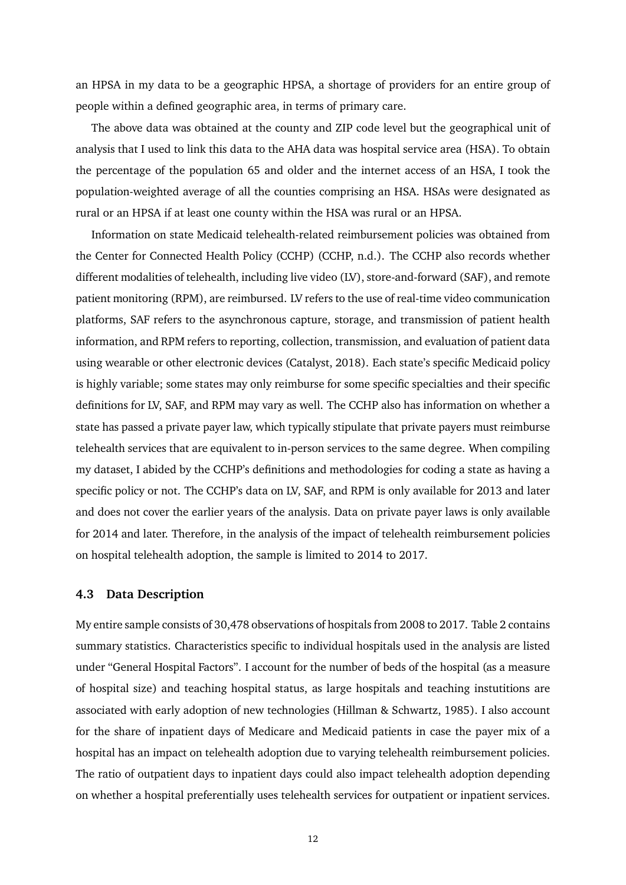an HPSA in my data to be a geographic HPSA, a shortage of providers for an entire group of people within a defined geographic area, in terms of primary care.

The above data was obtained at the county and ZIP code level but the geographical unit of analysis that I used to link this data to the AHA data was hospital service area (HSA). To obtain the percentage of the population 65 and older and the internet access of an HSA, I took the population-weighted average of all the counties comprising an HSA. HSAs were designated as rural or an HPSA if at least one county within the HSA was rural or an HPSA.

Information on state Medicaid telehealth-related reimbursement policies was obtained from the Center for Connected Health Policy (CCHP) (CCHP, n.d.). The CCHP also records whether different modalities of telehealth, including live video (LV), store-and-forward (SAF), and remote patient monitoring (RPM), are reimbursed. LV refers to the use of real-time video communication platforms, SAF refers to the asynchronous capture, storage, and transmission of patient health information, and RPM refers to reporting, collection, transmission, and evaluation of patient data using wearable or other electronic devices (Catalyst, 2018). Each state's specific Medicaid policy is highly variable; some states may only reimburse for some specific specialties and their specific definitions for LV, SAF, and RPM may vary as well. The CCHP also has information on whether a state has passed a private payer law, which typically stipulate that private payers must reimburse telehealth services that are equivalent to in-person services to the same degree. When compiling my dataset, I abided by the CCHP's definitions and methodologies for coding a state as having a specific policy or not. The CCHP's data on LV, SAF, and RPM is only available for 2013 and later and does not cover the earlier years of the analysis. Data on private payer laws is only available for 2014 and later. Therefore, in the analysis of the impact of telehealth reimbursement policies on hospital telehealth adoption, the sample is limited to 2014 to 2017.

#### <span id="page-14-0"></span>**4.3 Data Description**

My entire sample consists of 30,478 observations of hospitals from 2008 to 2017. Table 2 contains summary statistics. Characteristics specific to individual hospitals used in the analysis are listed under "General Hospital Factors". I account for the number of beds of the hospital (as a measure of hospital size) and teaching hospital status, as large hospitals and teaching instutitions are associated with early adoption of new technologies (Hillman & Schwartz, 1985). I also account for the share of inpatient days of Medicare and Medicaid patients in case the payer mix of a hospital has an impact on telehealth adoption due to varying telehealth reimbursement policies. The ratio of outpatient days to inpatient days could also impact telehealth adoption depending on whether a hospital preferentially uses telehealth services for outpatient or inpatient services.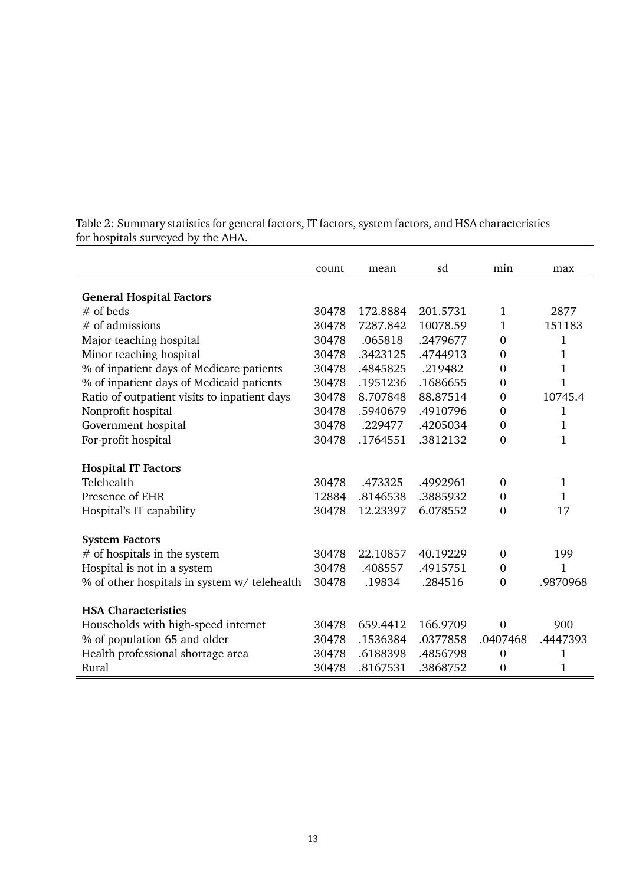|                                                 | count | mean     | sd       | min            | max            |
|-------------------------------------------------|-------|----------|----------|----------------|----------------|
|                                                 |       |          |          |                |                |
| <b>General Hospital Factors</b>                 |       |          |          |                |                |
| $#$ of beds                                     | 30478 | 172.8884 | 201.5731 | 1              | 2877           |
| $#$ of admissions                               | 30478 | 7287.842 | 10078.59 | 1              | 151183         |
| Major teaching hospital                         | 30478 | .065818  | .2479677 | $\mathbf{0}$   | 1              |
| Minor teaching hospital                         | 30478 | .3423125 | .4744913 | $\mathbf{0}$   | $\mathbf 1$    |
| % of inpatient days of Medicare patients        | 30478 | .4845825 | .219482  | $\overline{0}$ | 1              |
| % of inpatient days of Medicaid patients        | 30478 | .1951236 | .1686655 | $\mathbf{0}$   | $\overline{1}$ |
| Ratio of outpatient visits to inpatient days    | 30478 | 8.707848 | 88.87514 | $\mathbf{0}$   | 10745.4        |
| Nonprofit hospital                              | 30478 | .5940679 | .4910796 | $\overline{0}$ | $\mathbf{1}$   |
| Government hospital                             | 30478 | .229477  | .4205034 | $\overline{0}$ | 1              |
| For-profit hospital                             | 30478 | .1764551 | .3812132 | $\theta$       | 1              |
| <b>Hospital IT Factors</b>                      |       |          |          |                |                |
| Telehealth                                      | 30478 | .473325  | .4992961 | $\mathbf{0}$   | 1              |
| Presence of EHR                                 | 12884 | .8146538 | .3885932 | $\mathbf{0}$   | 1              |
| Hospital's IT capability                        | 30478 | 12.23397 | 6.078552 | $\overline{0}$ | 17             |
|                                                 |       |          |          |                |                |
| <b>System Factors</b>                           |       |          |          |                |                |
| $\#$ of hospitals in the system                 | 30478 | 22.10857 | 40.19229 | $\mathbf{0}$   | 199            |
| Hospital is not in a system                     | 30478 | .408557  | .4915751 | $\Omega$       | 1              |
| $\%$ of other hospitals in system w/ telehealth | 30478 | .19834   | .284516  | $\overline{0}$ | .9870968       |
| <b>HSA Characteristics</b>                      |       |          |          |                |                |
| Households with high-speed internet             | 30478 | 659.4412 | 166.9709 | $\overline{0}$ | 900            |
|                                                 | 30478 | .1536384 | .0377858 | .0407468       | .4447393       |
| % of population 65 and older                    |       |          |          |                |                |
| Health professional shortage area               | 30478 | .6188398 | .4856798 | $\mathbf{0}$   | 1              |
| Rural                                           | 30478 | .8167531 | .3868752 | 0              | 1              |

Table 2: Summary statistics for general factors, IT factors, system factors, and HSA characteristics for hospitals surveyed by the AHA.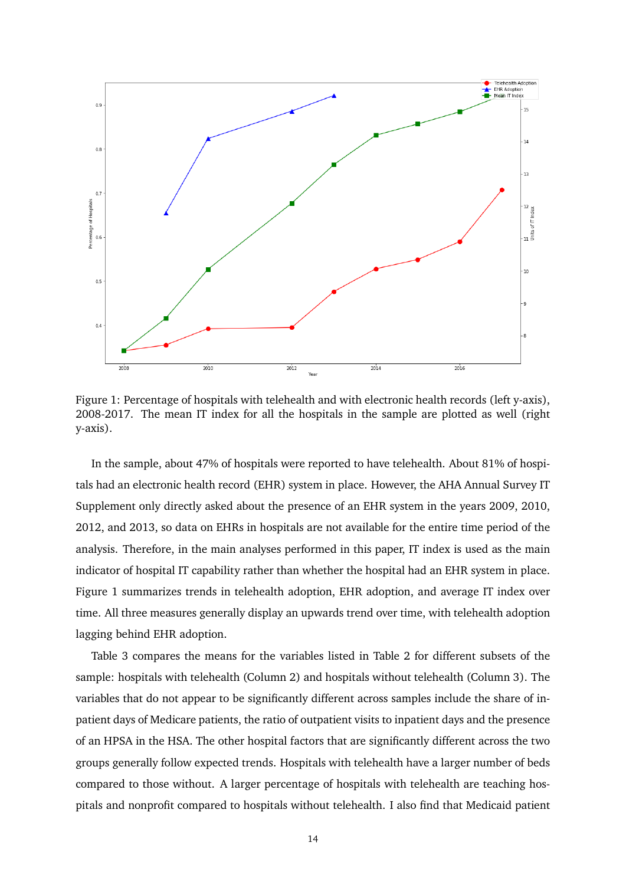

Figure 1: Percentage of hospitals with telehealth and with electronic health records (left y-axis), 2008-2017. The mean IT index for all the hospitals in the sample are plotted as well (right y-axis).

In the sample, about 47% of hospitals were reported to have telehealth. About 81% of hospitals had an electronic health record (EHR) system in place. However, the AHA Annual Survey IT Supplement only directly asked about the presence of an EHR system in the years 2009, 2010, 2012, and 2013, so data on EHRs in hospitals are not available for the entire time period of the analysis. Therefore, in the main analyses performed in this paper, IT index is used as the main indicator of hospital IT capability rather than whether the hospital had an EHR system in place. Figure 1 summarizes trends in telehealth adoption, EHR adoption, and average IT index over time. All three measures generally display an upwards trend over time, with telehealth adoption lagging behind EHR adoption.

Table 3 compares the means for the variables listed in Table 2 for different subsets of the sample: hospitals with telehealth (Column 2) and hospitals without telehealth (Column 3). The variables that do not appear to be significantly different across samples include the share of inpatient days of Medicare patients, the ratio of outpatient visits to inpatient days and the presence of an HPSA in the HSA. The other hospital factors that are significantly different across the two groups generally follow expected trends. Hospitals with telehealth have a larger number of beds compared to those without. A larger percentage of hospitals with telehealth are teaching hospitals and nonprofit compared to hospitals without telehealth. I also find that Medicaid patient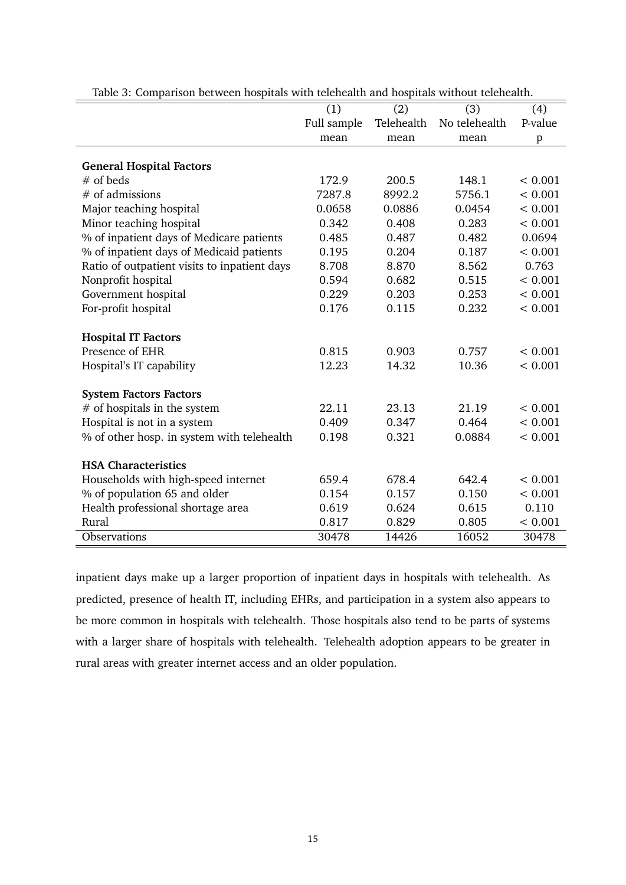| radic or companion between nospitals with teleneatin and nospitals without teleneatin. | (1)         | (2)        | (3)           | (4)          |
|----------------------------------------------------------------------------------------|-------------|------------|---------------|--------------|
|                                                                                        | Full sample | Telehealth | No telehealth | P-value      |
|                                                                                        | mean        | mean       | mean          | $\mathbf{p}$ |
|                                                                                        |             |            |               |              |
| <b>General Hospital Factors</b>                                                        |             |            |               |              |
| $#$ of beds                                                                            | 172.9       | 200.5      | 148.1         | < 0.001      |
| # of admissions                                                                        | 7287.8      | 8992.2     | 5756.1        | < 0.001      |
| Major teaching hospital                                                                | 0.0658      | 0.0886     | 0.0454        | < 0.001      |
| Minor teaching hospital                                                                | 0.342       | 0.408      | 0.283         | < 0.001      |
| % of inpatient days of Medicare patients                                               | 0.485       | 0.487      | 0.482         | 0.0694       |
| % of inpatient days of Medicaid patients                                               | 0.195       | 0.204      | 0.187         | < 0.001      |
| Ratio of outpatient visits to inpatient days                                           | 8.708       | 8.870      | 8.562         | 0.763        |
| Nonprofit hospital                                                                     | 0.594       | 0.682      | 0.515         | < 0.001      |
| Government hospital                                                                    | 0.229       | 0.203      | 0.253         | < 0.001      |
| For-profit hospital                                                                    | 0.176       | 0.115      | 0.232         | < 0.001      |
|                                                                                        |             |            |               |              |
| <b>Hospital IT Factors</b>                                                             |             |            |               |              |
| Presence of EHR                                                                        | 0.815       | 0.903      | 0.757         | < 0.001      |
| Hospital's IT capability                                                               | 12.23       | 14.32      | 10.36         | < 0.001      |
|                                                                                        |             |            |               |              |
| <b>System Factors Factors</b>                                                          |             |            |               |              |
| # of hospitals in the system                                                           | 22.11       | 23.13      | 21.19         | < 0.001      |
| Hospital is not in a system                                                            | 0.409       | 0.347      | 0.464         | < 0.001      |
| % of other hosp. in system with telehealth                                             | 0.198       | 0.321      | 0.0884        | < 0.001      |
|                                                                                        |             |            |               |              |
| <b>HSA Characteristics</b>                                                             |             |            |               |              |
| Households with high-speed internet                                                    | 659.4       | 678.4      | 642.4         | < 0.001      |
| % of population 65 and older                                                           | 0.154       | 0.157      | 0.150         | < 0.001      |
| Health professional shortage area                                                      | 0.619       | 0.624      | 0.615         | 0.110        |
| Rural                                                                                  | 0.817       | 0.829      | 0.805         | < 0.001      |
| Observations                                                                           | 30478       | 14426      | 16052         | 30478        |

Table 3: Comparison between hospitals with telehealth and hospitals without telehealth.

inpatient days make up a larger proportion of inpatient days in hospitals with telehealth. As predicted, presence of health IT, including EHRs, and participation in a system also appears to be more common in hospitals with telehealth. Those hospitals also tend to be parts of systems with a larger share of hospitals with telehealth. Telehealth adoption appears to be greater in rural areas with greater internet access and an older population.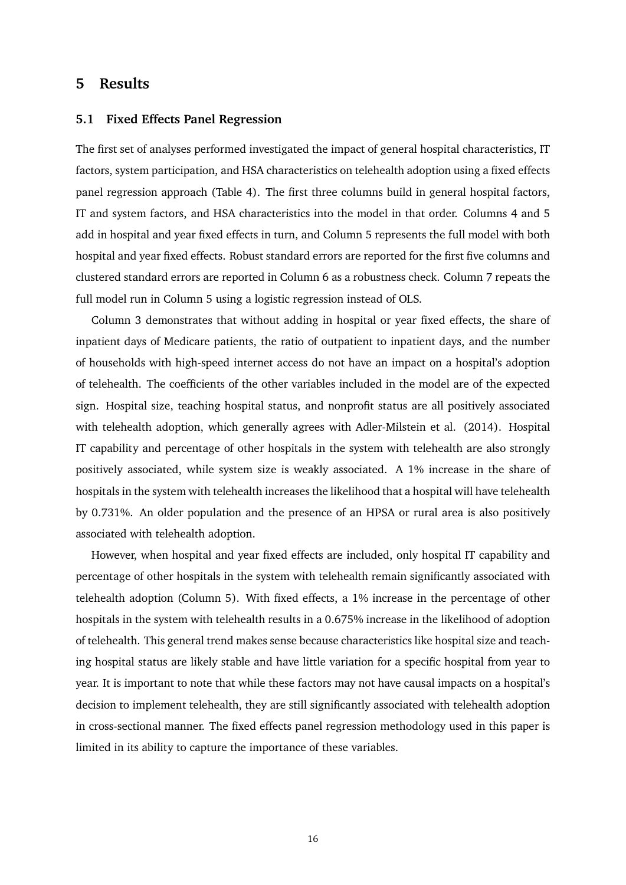## <span id="page-18-0"></span>**5 Results**

#### <span id="page-18-1"></span>**5.1 Fixed Effects Panel Regression**

The first set of analyses performed investigated the impact of general hospital characteristics, IT factors, system participation, and HSA characteristics on telehealth adoption using a fixed effects panel regression approach (Table 4). The first three columns build in general hospital factors, IT and system factors, and HSA characteristics into the model in that order. Columns 4 and 5 add in hospital and year fixed effects in turn, and Column 5 represents the full model with both hospital and year fixed effects. Robust standard errors are reported for the first five columns and clustered standard errors are reported in Column 6 as a robustness check. Column 7 repeats the full model run in Column 5 using a logistic regression instead of OLS.

Column 3 demonstrates that without adding in hospital or year fixed effects, the share of inpatient days of Medicare patients, the ratio of outpatient to inpatient days, and the number of households with high-speed internet access do not have an impact on a hospital's adoption of telehealth. The coefficients of the other variables included in the model are of the expected sign. Hospital size, teaching hospital status, and nonprofit status are all positively associated with telehealth adoption, which generally agrees with Adler-Milstein et al. (2014). Hospital IT capability and percentage of other hospitals in the system with telehealth are also strongly positively associated, while system size is weakly associated. A 1% increase in the share of hospitals in the system with telehealth increases the likelihood that a hospital will have telehealth by 0.731%. An older population and the presence of an HPSA or rural area is also positively associated with telehealth adoption.

However, when hospital and year fixed effects are included, only hospital IT capability and percentage of other hospitals in the system with telehealth remain significantly associated with telehealth adoption (Column 5). With fixed effects, a 1% increase in the percentage of other hospitals in the system with telehealth results in a 0.675% increase in the likelihood of adoption of telehealth. This general trend makes sense because characteristics like hospital size and teaching hospital status are likely stable and have little variation for a specific hospital from year to year. It is important to note that while these factors may not have causal impacts on a hospital's decision to implement telehealth, they are still significantly associated with telehealth adoption in cross-sectional manner. The fixed effects panel regression methodology used in this paper is limited in its ability to capture the importance of these variables.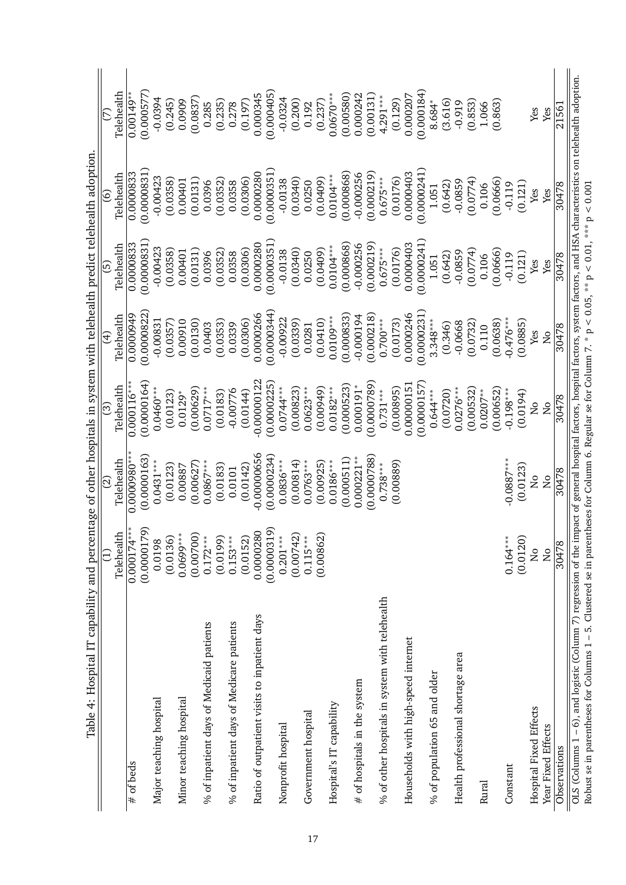|                                                                                                                                                                                                                                                                                                                                               | Ξ             | ପ୍ର              | ි                       | E)                     | ල                 | $\tilde{\mathbf{e}}$ | E                |
|-----------------------------------------------------------------------------------------------------------------------------------------------------------------------------------------------------------------------------------------------------------------------------------------------------------------------------------------------|---------------|------------------|-------------------------|------------------------|-------------------|----------------------|------------------|
|                                                                                                                                                                                                                                                                                                                                               | Telehealth    | Telehealth       | Telehealth              | Telehealth             | Telehealth        | Telehealth           | Telehealth       |
| $#$ of beds                                                                                                                                                                                                                                                                                                                                   | $0.000174***$ | $0.0000980^{**}$ | $0.000116**$            | $0.\overline{0000949}$ | 0.0000833         | 0.0000833            | $0.00149$ *      |
|                                                                                                                                                                                                                                                                                                                                               | (0.0000179)   | (0.0000163)      | (0.0000164)             | 0.0000822              | (0.0000831)       | (0.0000831)          | (0.000577        |
| Major teaching hospital                                                                                                                                                                                                                                                                                                                       | 0.0198        | $0.0431***$      | $0.0460***$             | $-0.00831$             | $-0.00423$        | $-0.00423$           | $-0.0394$        |
|                                                                                                                                                                                                                                                                                                                                               | (0.0136)      | (0.0123)         | (0.0123)                | (0.0357)               | (0.0358)          | (0.0358)             | (0.245)          |
| Minor teaching hospital                                                                                                                                                                                                                                                                                                                       | $0.0699***$   | 0.00887          | $0.0129*$               | 0.00910                | 0.00401           | 0.00401              | 0.0909           |
|                                                                                                                                                                                                                                                                                                                                               | (0.00700)     | (0.00627)        | (0.00629)               | (0.0130)               | (0.0131)          | (0.0131)             | (0.0837)         |
| % of inpatient days of Medicaid patients                                                                                                                                                                                                                                                                                                      | $0.172***$    | $0.0867***$      | $0.0717***$             | 0.0403                 | 0.0396            | 0.0396               | 0.285            |
|                                                                                                                                                                                                                                                                                                                                               | (0.0199)      | (0.0183)         | (0.0183)                | (0.0353)               | (0.0352)          | (0.0352)             | (0.235)          |
| % of inpatient days of Medicare patients                                                                                                                                                                                                                                                                                                      | $0.153***$    | 0.0101           | $-0.00776$              | 0.0339                 | 0.0358            | 0.0358               | 0.278            |
|                                                                                                                                                                                                                                                                                                                                               | (0.0152)      | (0.0142)         | (0.0144)                | (0.0306)               | (0.0306)          | (0.0306)             | (0.197)          |
| Ratio of outpatient visits to inpatient days                                                                                                                                                                                                                                                                                                  | 0.00000280    | $-0.00000656$    | $-0.00000122$           | 0.0000266              | 0.0000280         | 0.0000280            | 0.000345         |
|                                                                                                                                                                                                                                                                                                                                               | (0.0000319)   | (0.0000234)      | (0.0000225)             | (0.0000344)            | (0.0000351)       | (0.0000351)          | (0.000405)       |
| Nonprofit hospital                                                                                                                                                                                                                                                                                                                            | $0.201***$    | $0.0836***$      | $0.0744***$             | $-0.00922$             | $-0.0138$         | $-0.0138$            | $-0.0324$        |
|                                                                                                                                                                                                                                                                                                                                               | (0.00742)     | (0.00814)        | (0.00823)               | (0.0339)               | (0.0340)          | (0.0340)             | (0.200)          |
| Government hospital                                                                                                                                                                                                                                                                                                                           | $0.115***$    | $0.0763***$      | $0.0623***$             | 0.0281                 | 0.0250            | 0.0250               | 0.192            |
|                                                                                                                                                                                                                                                                                                                                               | (0.00862)     | (0.00925)        | (0.00949)               | (0.0410)               | (0.0409)          | (0.0409)             | (0.237)          |
| Hospital's IT capability                                                                                                                                                                                                                                                                                                                      |               | $0.0186***$      | $0.0182***$             | $0.0109***$            | $0.0104***$       | $0.0104***$          | $0.0670***$      |
|                                                                                                                                                                                                                                                                                                                                               |               | (0.000511)       | (0.000523)              | (0.000833)             | (0.000868)        | (0.000868)           | (0.00580)        |
| # of hospitals in the system                                                                                                                                                                                                                                                                                                                  |               | $0.000221***$    | $0.000191*$             | $-0.000194$            | $-0.000256$       | $-0.000256$          | 0.000242         |
|                                                                                                                                                                                                                                                                                                                                               |               | (0.0000788)      | (0.0000789)             | (0.000218)             | (0.000219)        | (0.000219)           | (0.00131)        |
| % of other hospitals in system with telehealth                                                                                                                                                                                                                                                                                                |               | $0.738***$       | $0.731***$              | $0.700***$             | $0.675***$        | $0.675***$           | 4.291***         |
|                                                                                                                                                                                                                                                                                                                                               |               | (0.00889)        | (0.00895)               | (0.0173)               | (0.0176)          | (0.0176)             | (0.129)          |
| Households with high-speed internet                                                                                                                                                                                                                                                                                                           |               |                  | 0.00000151              | 0.0000246              | 0.0000403         | 0.0000403            | 0.000207         |
|                                                                                                                                                                                                                                                                                                                                               |               |                  | (0.0000157)             | (0.0000231)            | (0.0000241)       | (0.0000241)          | (0.000184)       |
| % of population 65 and older                                                                                                                                                                                                                                                                                                                  |               |                  | $0.644***$              | $3.348***$             | 1.051             | 1.051                | 8.684*           |
|                                                                                                                                                                                                                                                                                                                                               |               |                  | (0.0720)                | (0.346)                | (0.642)           | (0.642)              | (3.616)          |
| Health professional shortage area                                                                                                                                                                                                                                                                                                             |               |                  | $0.0276***$             | $-0.0668$              | $-0.0859$         | $-0.0859$            | $-0.919$         |
|                                                                                                                                                                                                                                                                                                                                               |               |                  | (0.00532)<br>$0.0207**$ | (0.0732)<br>0.110      | (0.0774)<br>0.106 | (0.0774)<br>0.106    | (0.853)<br>1.066 |
| Rural                                                                                                                                                                                                                                                                                                                                         |               |                  | (0.00652)               | (0.0638)               | (0.0666)          | (0.0666)             | (0.863)          |
| Constant                                                                                                                                                                                                                                                                                                                                      | $0.164***$    | $-0.0887***$     | $-0.198***$             | $-0.476***$            | $-0.119$          | $-0.119$             |                  |
|                                                                                                                                                                                                                                                                                                                                               | (0.0120)      | (0.0123)         | (0.0194)                | (0.0885)               | (0.121)           | (0.121)              |                  |
| Hospital Fixed Effects                                                                                                                                                                                                                                                                                                                        | $\frac{1}{2}$ | ž                | ž                       | Yes                    | Yes               | Yes                  | Yes              |
| Year Fixed Effects                                                                                                                                                                                                                                                                                                                            | Χo            | $\overline{N}$   | Χo                      | $\overline{N}$         | Yes               | Yes                  | Yes              |
| Observations                                                                                                                                                                                                                                                                                                                                  | 30478         | 30478            | 30478                   | 30478                  | 30478             | 30478                | 21561            |
| OLS (Columns 1 - 6), and logistic (Column 7) regression of the impact of general hospital factors, hospital factors, system factors, and HSA characteristics on telehealth adoption.<br>Robust se in parentheses for Columns 1 – 5. Clustered se in parentheses for Column 6. Regular se for Column 7. * p < 0.05, ** p < 0.01, *** p < 0.001 |               |                  |                         |                        |                   |                      |                  |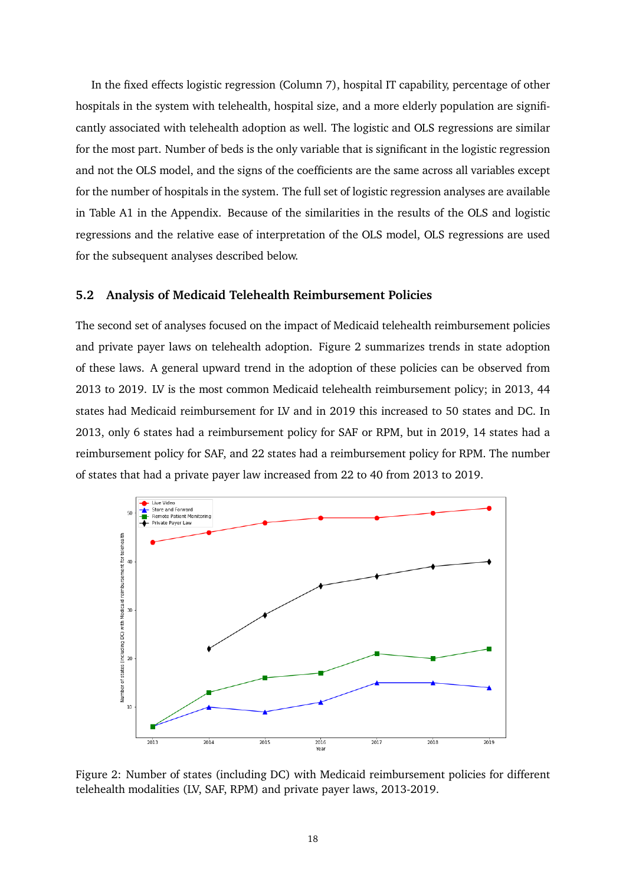In the fixed effects logistic regression (Column 7), hospital IT capability, percentage of other hospitals in the system with telehealth, hospital size, and a more elderly population are significantly associated with telehealth adoption as well. The logistic and OLS regressions are similar for the most part. Number of beds is the only variable that is significant in the logistic regression and not the OLS model, and the signs of the coefficients are the same across all variables except for the number of hospitals in the system. The full set of logistic regression analyses are available in Table A1 in the Appendix. Because of the similarities in the results of the OLS and logistic regressions and the relative ease of interpretation of the OLS model, OLS regressions are used for the subsequent analyses described below.

#### <span id="page-20-0"></span>**5.2 Analysis of Medicaid Telehealth Reimbursement Policies**

The second set of analyses focused on the impact of Medicaid telehealth reimbursement policies and private payer laws on telehealth adoption. Figure 2 summarizes trends in state adoption of these laws. A general upward trend in the adoption of these policies can be observed from 2013 to 2019. LV is the most common Medicaid telehealth reimbursement policy; in 2013, 44 states had Medicaid reimbursement for LV and in 2019 this increased to 50 states and DC. In 2013, only 6 states had a reimbursement policy for SAF or RPM, but in 2019, 14 states had a reimbursement policy for SAF, and 22 states had a reimbursement policy for RPM. The number of states that had a private payer law increased from 22 to 40 from 2013 to 2019.



Figure 2: Number of states (including DC) with Medicaid reimbursement policies for different telehealth modalities (LV, SAF, RPM) and private payer laws, 2013-2019.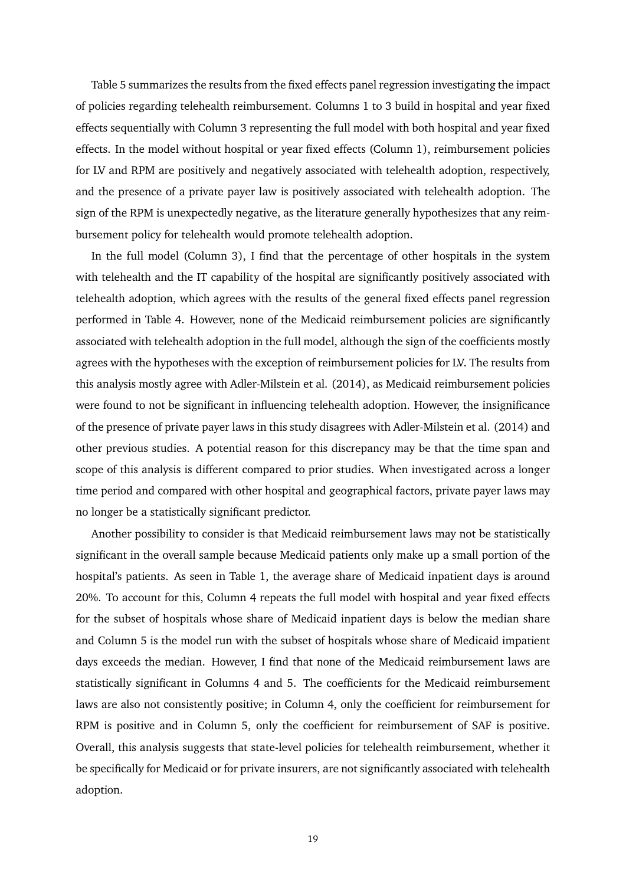Table 5 summarizes the results from the fixed effects panel regression investigating the impact of policies regarding telehealth reimbursement. Columns 1 to 3 build in hospital and year fixed effects sequentially with Column 3 representing the full model with both hospital and year fixed effects. In the model without hospital or year fixed effects (Column 1), reimbursement policies for LV and RPM are positively and negatively associated with telehealth adoption, respectively, and the presence of a private payer law is positively associated with telehealth adoption. The sign of the RPM is unexpectedly negative, as the literature generally hypothesizes that any reimbursement policy for telehealth would promote telehealth adoption.

In the full model (Column 3), I find that the percentage of other hospitals in the system with telehealth and the IT capability of the hospital are significantly positively associated with telehealth adoption, which agrees with the results of the general fixed effects panel regression performed in Table 4. However, none of the Medicaid reimbursement policies are significantly associated with telehealth adoption in the full model, although the sign of the coefficients mostly agrees with the hypotheses with the exception of reimbursement policies for LV. The results from this analysis mostly agree with Adler-Milstein et al. (2014), as Medicaid reimbursement policies were found to not be significant in influencing telehealth adoption. However, the insignificance of the presence of private payer laws in this study disagrees with Adler-Milstein et al. (2014) and other previous studies. A potential reason for this discrepancy may be that the time span and scope of this analysis is different compared to prior studies. When investigated across a longer time period and compared with other hospital and geographical factors, private payer laws may no longer be a statistically significant predictor.

Another possibility to consider is that Medicaid reimbursement laws may not be statistically significant in the overall sample because Medicaid patients only make up a small portion of the hospital's patients. As seen in Table 1, the average share of Medicaid inpatient days is around 20%. To account for this, Column 4 repeats the full model with hospital and year fixed effects for the subset of hospitals whose share of Medicaid inpatient days is below the median share and Column 5 is the model run with the subset of hospitals whose share of Medicaid impatient days exceeds the median. However, I find that none of the Medicaid reimbursement laws are statistically significant in Columns 4 and 5. The coefficients for the Medicaid reimbursement laws are also not consistently positive; in Column 4, only the coefficient for reimbursement for RPM is positive and in Column 5, only the coefficient for reimbursement of SAF is positive. Overall, this analysis suggests that state-level policies for telehealth reimbursement, whether it be specifically for Medicaid or for private insurers, are not significantly associated with telehealth adoption.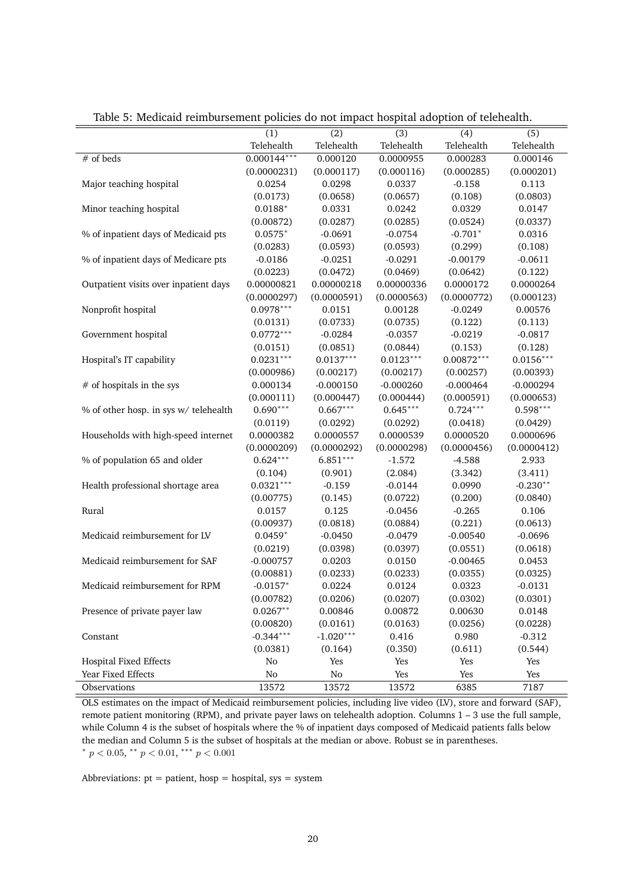|                                       | (1)           | (2)         | (3)         | (4)          | (5)         |
|---------------------------------------|---------------|-------------|-------------|--------------|-------------|
|                                       | Telehealth    | Telehealth  | Telehealth  | Telehealth   | Telehealth  |
| $#$ of beds                           | $0.000144***$ | 0.000120    | 0.0000955   | 0.000283     | 0.000146    |
|                                       | (0.0000231)   | (0.000117)  | (0.000116)  | (0.000285)   | (0.000201)  |
| Major teaching hospital               | 0.0254        | 0.0298      | 0.0337      | $-0.158$     | 0.113       |
|                                       | (0.0173)      | (0.0658)    | (0.0657)    | (0.108)      | (0.0803)    |
| Minor teaching hospital               | $0.0188*$     | 0.0331      | 0.0242      | 0.0329       | 0.0147      |
|                                       |               |             |             |              |             |
|                                       | (0.00872)     | (0.0287)    | (0.0285)    | (0.0524)     | (0.0337)    |
| % of inpatient days of Medicaid pts   | $0.0575*$     | $-0.0691$   | $-0.0754$   | $-0.701*$    | 0.0316      |
|                                       | (0.0283)      | (0.0593)    | (0.0593)    | (0.299)      | (0.108)     |
| % of inpatient days of Medicare pts   | $-0.0186$     | $-0.0251$   | $-0.0291$   | $-0.00179$   | $-0.0611$   |
|                                       | (0.0223)      | (0.0472)    | (0.0469)    | (0.0642)     | (0.122)     |
| Outpatient visits over inpatient days | 0.00000821    | 0.00000218  | 0.00000336  | 0.0000172    | 0.0000264   |
|                                       | (0.0000297)   | (0.0000591) | (0.0000563) | (0.0000772)  | (0.000123)  |
| Nonprofit hospital                    | $0.0978***$   | 0.0151      | 0.00128     | $-0.0249$    | 0.00576     |
|                                       | (0.0131)      | (0.0733)    | (0.0735)    | (0.122)      | (0.113)     |
| Government hospital                   | $0.0772***$   | $-0.0284$   | $-0.0357$   | $-0.0219$    | $-0.0817$   |
|                                       | (0.0151)      | (0.0851)    | (0.0844)    | (0.153)      | (0.128)     |
| Hospital's IT capability              | $0.0231***$   | $0.0137***$ | $0.0123***$ | $0.00872***$ | $0.0156***$ |
|                                       | (0.000986)    | (0.00217)   | (0.00217)   | (0.00257)    | (0.00393)   |
| $#$ of hospitals in the sys           | 0.000134      | $-0.000150$ | $-0.000260$ | $-0.000464$  | $-0.000294$ |
|                                       | (0.000111)    | (0.000447)  | (0.000444)  | (0.000591)   | (0.000653)  |
| % of other hosp. in sys w/ telehealth | $0.690***$    | $0.667***$  | $0.645***$  | $0.724***$   | $0.598***$  |
|                                       | (0.0119)      | (0.0292)    | (0.0292)    | (0.0418)     | (0.0429)    |
| Households with high-speed internet   | 0.0000382     | 0.0000557   | 0.0000539   | 0.0000520    | 0.0000696   |
|                                       | (0.0000209)   | (0.0000292) | (0.0000298) | (0.0000456)  | (0.0000412) |
| % of population 65 and older          | $0.624***$    | $6.851***$  | $-1.572$    | $-4.588$     | 2.933       |
|                                       | (0.104)       | (0.901)     | (2.084)     | (3.342)      | (3.411)     |
| Health professional shortage area     | $0.0321***$   | $-0.159$    | $-0.0144$   | 0.0990       | $-0.230**$  |
|                                       | (0.00775)     | (0.145)     | (0.0722)    | (0.200)      | (0.0840)    |
| Rural                                 | 0.0157        | 0.125       | $-0.0456$   | $-0.265$     | 0.106       |
|                                       | (0.00937)     | (0.0818)    | (0.0884)    | (0.221)      | (0.0613)    |
| Medicaid reimbursement for LV         | $0.0459*$     | $-0.0450$   | $-0.0479$   | $-0.00540$   | $-0.0696$   |
|                                       | (0.0219)      | (0.0398)    | (0.0397)    | (0.0551)     | (0.0618)    |
| Medicaid reimbursement for SAF        | $-0.000757$   | 0.0203      | 0.0150      | $-0.00465$   | 0.0453      |
|                                       | (0.00881)     | (0.0233)    | (0.0233)    | (0.0355)     | (0.0325)    |
| Medicaid reimbursement for RPM        | $-0.0157*$    | 0.0224      | 0.0124      | 0.0323       | $-0.0131$   |
|                                       | (0.00782)     | (0.0206)    | (0.0207)    | (0.0302)     | (0.0301)    |
| Presence of private payer law         | $0.0267**$    | 0.00846     | 0.00872     | 0.00630      | 0.0148      |
|                                       | (0.00820)     | (0.0161)    | (0.0163)    | (0.0256)     | (0.0228)    |
| Constant                              | $-0.344***$   | $-1.020***$ | 0.416       | 0.980        | $-0.312$    |
|                                       | (0.0381)      | (0.164)     | (0.350)     | (0.611)      | (0.544)     |
| <b>Hospital Fixed Effects</b>         | No            | Yes         | Yes         | Yes          | Yes         |
| Year Fixed Effects                    | $\rm No$      | $\rm No$    | Yes         | Yes          | Yes         |
| Observations                          | 13572         | 13572       | 13572       | 6385         | 7187        |
|                                       |               |             |             |              |             |

Table 5: Medicaid reimbursement policies do not impact hospital adoption of telehealth.

OLS estimates on the impact of Medicaid reimbursement policies, including live video (LV), store and forward (SAF), remote patient monitoring (RPM), and private payer laws on telehealth adoption. Columns 1 – 3 use the full sample, while Column 4 is the subset of hospitals where the % of inpatient days composed of Medicaid patients falls below the median and Column 5 is the subset of hospitals at the median or above. Robust se in parentheses. \*  $p < 0.05$ , \*\*  $p < 0.01$ , \*\*\*  $p < 0.001$ 

Abbreviations:  $pt = patient$ ,  $hosp = hospital$ ,  $sys = system$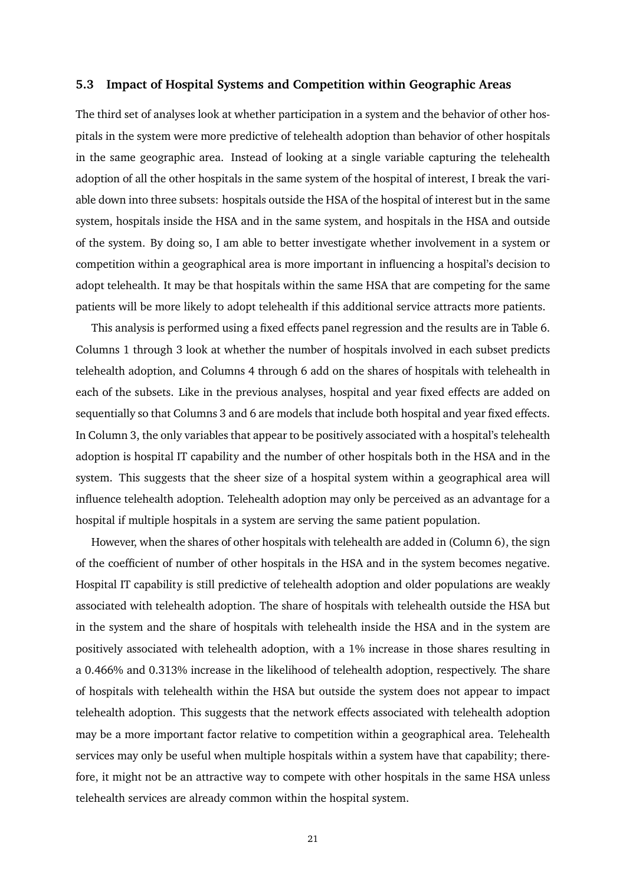#### <span id="page-23-0"></span>**5.3 Impact of Hospital Systems and Competition within Geographic Areas**

The third set of analyses look at whether participation in a system and the behavior of other hospitals in the system were more predictive of telehealth adoption than behavior of other hospitals in the same geographic area. Instead of looking at a single variable capturing the telehealth adoption of all the other hospitals in the same system of the hospital of interest, I break the variable down into three subsets: hospitals outside the HSA of the hospital of interest but in the same system, hospitals inside the HSA and in the same system, and hospitals in the HSA and outside of the system. By doing so, I am able to better investigate whether involvement in a system or competition within a geographical area is more important in influencing a hospital's decision to adopt telehealth. It may be that hospitals within the same HSA that are competing for the same patients will be more likely to adopt telehealth if this additional service attracts more patients.

This analysis is performed using a fixed effects panel regression and the results are in Table 6. Columns 1 through 3 look at whether the number of hospitals involved in each subset predicts telehealth adoption, and Columns 4 through 6 add on the shares of hospitals with telehealth in each of the subsets. Like in the previous analyses, hospital and year fixed effects are added on sequentially so that Columns 3 and 6 are models that include both hospital and year fixed effects. In Column 3, the only variables that appear to be positively associated with a hospital's telehealth adoption is hospital IT capability and the number of other hospitals both in the HSA and in the system. This suggests that the sheer size of a hospital system within a geographical area will influence telehealth adoption. Telehealth adoption may only be perceived as an advantage for a hospital if multiple hospitals in a system are serving the same patient population.

However, when the shares of other hospitals with telehealth are added in (Column 6), the sign of the coefficient of number of other hospitals in the HSA and in the system becomes negative. Hospital IT capability is still predictive of telehealth adoption and older populations are weakly associated with telehealth adoption. The share of hospitals with telehealth outside the HSA but in the system and the share of hospitals with telehealth inside the HSA and in the system are positively associated with telehealth adoption, with a 1% increase in those shares resulting in a 0.466% and 0.313% increase in the likelihood of telehealth adoption, respectively. The share of hospitals with telehealth within the HSA but outside the system does not appear to impact telehealth adoption. This suggests that the network effects associated with telehealth adoption may be a more important factor relative to competition within a geographical area. Telehealth services may only be useful when multiple hospitals within a system have that capability; therefore, it might not be an attractive way to compete with other hospitals in the same HSA unless telehealth services are already common within the hospital system.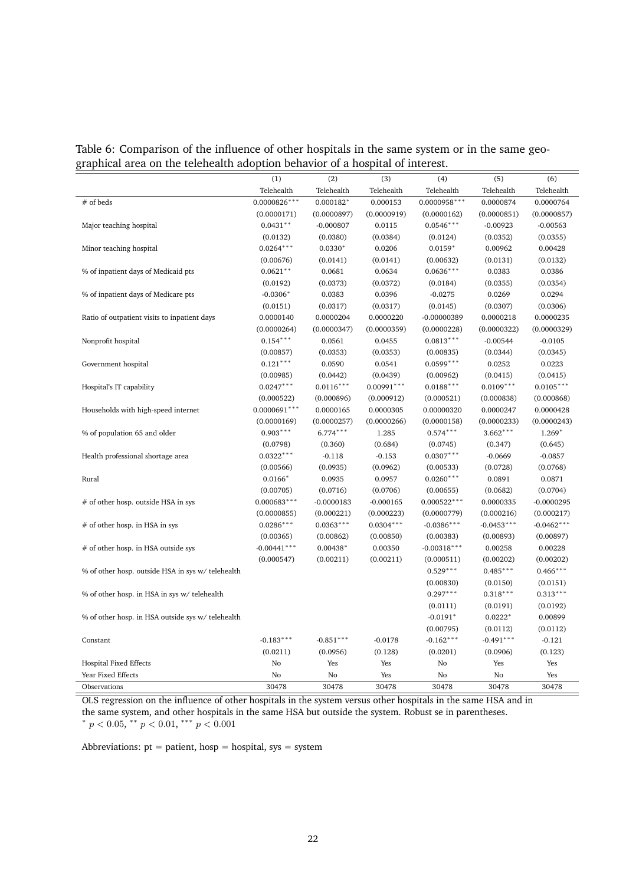|  | Table 6: Comparison of the influence of other hospitals in the same system or in the same geo- |  |  |  |
|--|------------------------------------------------------------------------------------------------|--|--|--|
|  | graphical area on the telehealth adoption behavior of a hospital of interest.                  |  |  |  |

|                                                  | (1)            | (2)          | (3)          | (4)            | (5)          | (6)          |
|--------------------------------------------------|----------------|--------------|--------------|----------------|--------------|--------------|
|                                                  | Telehealth     | Telehealth   | Telehealth   | Telehealth     | Telehealth   | Telehealth   |
| # of beds                                        | $0.0000826***$ | $0.000182*$  | 0.000153     | $0.0000958***$ | 0.0000874    | 0.0000764    |
|                                                  | (0.0000171)    | (0.0000897)  | (0.0000919)  | (0.0000162)    | (0.0000851)  | (0.0000857)  |
| Major teaching hospital                          | $0.0431**$     | $-0.000807$  | 0.0115       | $0.0546***$    | $-0.00923$   | $-0.00563$   |
|                                                  | (0.0132)       | (0.0380)     | (0.0384)     | (0.0124)       | (0.0352)     | (0.0355)     |
| Minor teaching hospital                          | $0.0264***$    | $0.0330*$    | 0.0206       | $0.0159*$      | 0.00962      | 0.00428      |
|                                                  | (0.00676)      | (0.0141)     | (0.0141)     | (0.00632)      | (0.0131)     | (0.0132)     |
| % of inpatient days of Medicaid pts              | $0.0621**$     | 0.0681       | 0.0634       | $0.0636***$    | 0.0383       | 0.0386       |
|                                                  | (0.0192)       | (0.0373)     | (0.0372)     | (0.0184)       | (0.0355)     | (0.0354)     |
| % of inpatient days of Medicare pts              | $-0.0306*$     | 0.0383       | 0.0396       | $-0.0275$      | 0.0269       | 0.0294       |
|                                                  | (0.0151)       | (0.0317)     | (0.0317)     | (0.0145)       | (0.0307)     | (0.0306)     |
| Ratio of outpatient visits to inpatient days     | 0.0000140      | 0.0000204    | 0.0000220    | $-0.00000389$  | 0.0000218    | 0.0000235    |
|                                                  | (0.0000264)    | (0.0000347)  | (0.0000359)  | (0.0000228)    | (0.0000322)  | (0.0000329)  |
| Nonprofit hospital                               | $0.154***$     | 0.0561       | 0.0455       | $0.0813***$    | $-0.00544$   | $-0.0105$    |
|                                                  | (0.00857)      | (0.0353)     | (0.0353)     | (0.00835)      | (0.0344)     | (0.0345)     |
| Government hospital                              | $0.121***$     | 0.0590       | 0.0541       | $0.0599***$    | 0.0252       | 0.0223       |
|                                                  | (0.00985)      | (0.0442)     | (0.0439)     | (0.00962)      | (0.0415)     | (0.0415)     |
| Hospital's IT capability                         | $0.0247***$    | $0.0116***$  | $0.00991***$ | $0.0188***$    | $0.0109***$  | $0.0105***$  |
|                                                  | (0.000522)     | (0.000896)   | (0.000912)   | (0.000521)     | (0.000838)   | (0.000868)   |
| Households with high-speed internet              | $0.0000691***$ | 0.0000165    | 0.0000305    | 0.00000320     | 0.0000247    | 0.0000428    |
|                                                  | (0.0000169)    | (0.0000257)  | (0.0000266)  | (0.0000158)    | (0.0000233)  | (0.0000243)  |
| % of population 65 and older                     | $0.903***$     | $6.774***$   | 1.285        | $0.574***$     | $3.662***$   | $1.269*$     |
|                                                  | (0.0798)       | (0.360)      | (0.684)      | (0.0745)       | (0.347)      | (0.645)      |
| Health professional shortage area                | $0.0322***$    | $-0.118$     | $-0.153$     | $0.0307***$    | $-0.0669$    | $-0.0857$    |
|                                                  | (0.00566)      | (0.0935)     | (0.0962)     | (0.00533)      | (0.0728)     | (0.0768)     |
| Rural                                            | $0.0166*$      | 0.0935       | 0.0957       | $0.0260***$    | 0.0891       | 0.0871       |
|                                                  | (0.00705)      | (0.0716)     | (0.0706)     | (0.00655)      | (0.0682)     | (0.0704)     |
| # of other hosp. outside HSA in sys              | $0.000683***$  | $-0.0000183$ | $-0.000165$  | $0.000522***$  | 0.0000335    | $-0.0000295$ |
|                                                  | (0.0000855)    | (0.000221)   | (0.000223)   | (0.0000779)    | (0.000216)   | (0.000217)   |
| $#$ of other hosp. in HSA in sys                 | $0.0286***$    | $0.0363***$  | $0.0304***$  | $-0.0386***$   | $-0.0453***$ | $-0.0462***$ |
|                                                  | (0.00365)      | (0.00862)    | (0.00850)    | (0.00383)      | (0.00893)    | (0.00897)    |
| # of other hosp. in HSA outside sys              | $-0.00441***$  | $0.00438*$   | 0.00350      | $-0.00318***$  | 0.00258      | 0.00228      |
|                                                  | (0.000547)     | (0.00211)    | (0.00211)    | (0.000511)     | (0.00202)    | (0.00202)    |
| % of other hosp. outside HSA in sys w/telehealth |                |              |              | $0.529***$     | $0.485***$   | $0.466***$   |
|                                                  |                |              |              | (0.00830)      | (0.0150)     | (0.0151)     |
| % of other hosp. in HSA in sys w/telehealth      |                |              |              | $0.297***$     | $0.318***$   | $0.313***$   |
|                                                  |                |              |              | (0.0111)       | (0.0191)     | (0.0192)     |
| % of other hosp. in HSA outside sys w/telehealth |                |              |              | $-0.0191*$     | $0.0222*$    | 0.00899      |
|                                                  |                |              |              | (0.00795)      | (0.0112)     | (0.0112)     |
| Constant                                         | $-0.183***$    | $-0.851***$  | $-0.0178$    | $-0.162***$    | $-0.491***$  | $-0.121$     |
|                                                  | (0.0211)       | (0.0956)     | (0.128)      | (0.0201)       | (0.0906)     | (0.123)      |
| <b>Hospital Fixed Effects</b>                    | No             | Yes          | Yes          | No             | Yes          | Yes          |
| Year Fixed Effects                               | No             | No           | Yes          | No             | No           | Yes          |
| Observations                                     | 30478          | 30478        | 30478        | 30478          | 30478        | 30478        |
|                                                  |                |              |              |                |              |              |

OLS regression on the influence of other hospitals in the system versus other hospitals in the same HSA and in the same system, and other hospitals in the same HSA but outside the system. Robust se in parentheses.<br>\*  $p < 0.05$ , \*\*  $p < 0.01$ , \*\*\*  $p < 0.001$ 

Abbreviations:  $pt = patient$ ,  $hosp = hospital$ ,  $sys = system$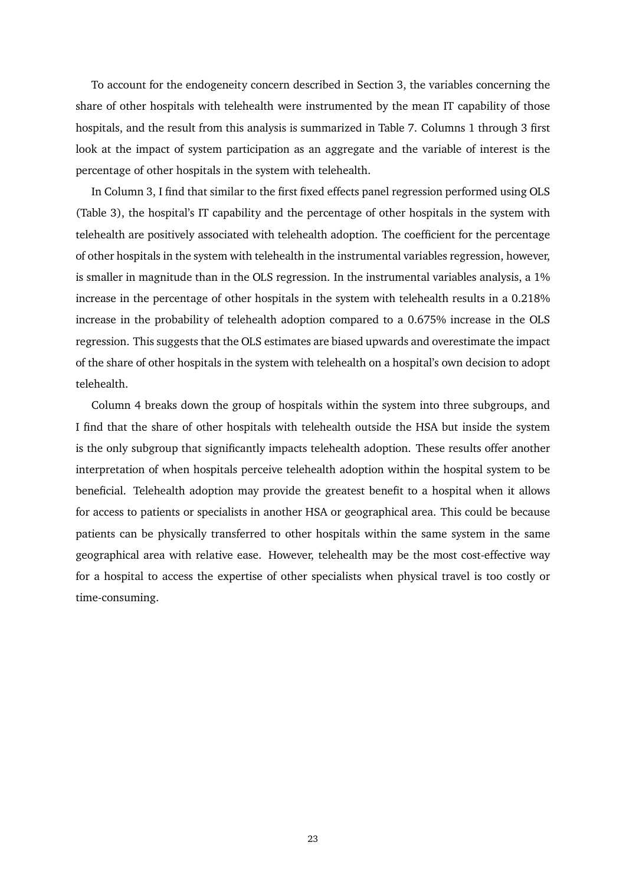To account for the endogeneity concern described in Section 3, the variables concerning the share of other hospitals with telehealth were instrumented by the mean IT capability of those hospitals, and the result from this analysis is summarized in Table 7. Columns 1 through 3 first look at the impact of system participation as an aggregate and the variable of interest is the percentage of other hospitals in the system with telehealth.

In Column 3, I find that similar to the first fixed effects panel regression performed using OLS (Table 3), the hospital's IT capability and the percentage of other hospitals in the system with telehealth are positively associated with telehealth adoption. The coefficient for the percentage of other hospitals in the system with telehealth in the instrumental variables regression, however, is smaller in magnitude than in the OLS regression. In the instrumental variables analysis, a 1% increase in the percentage of other hospitals in the system with telehealth results in a 0.218% increase in the probability of telehealth adoption compared to a 0.675% increase in the OLS regression. This suggests that the OLS estimates are biased upwards and overestimate the impact of the share of other hospitals in the system with telehealth on a hospital's own decision to adopt telehealth.

Column 4 breaks down the group of hospitals within the system into three subgroups, and I find that the share of other hospitals with telehealth outside the HSA but inside the system is the only subgroup that significantly impacts telehealth adoption. These results offer another interpretation of when hospitals perceive telehealth adoption within the hospital system to be beneficial. Telehealth adoption may provide the greatest benefit to a hospital when it allows for access to patients or specialists in another HSA or geographical area. This could be because patients can be physically transferred to other hospitals within the same system in the same geographical area with relative ease. However, telehealth may be the most cost-effective way for a hospital to access the expertise of other specialists when physical travel is too costly or time-consuming.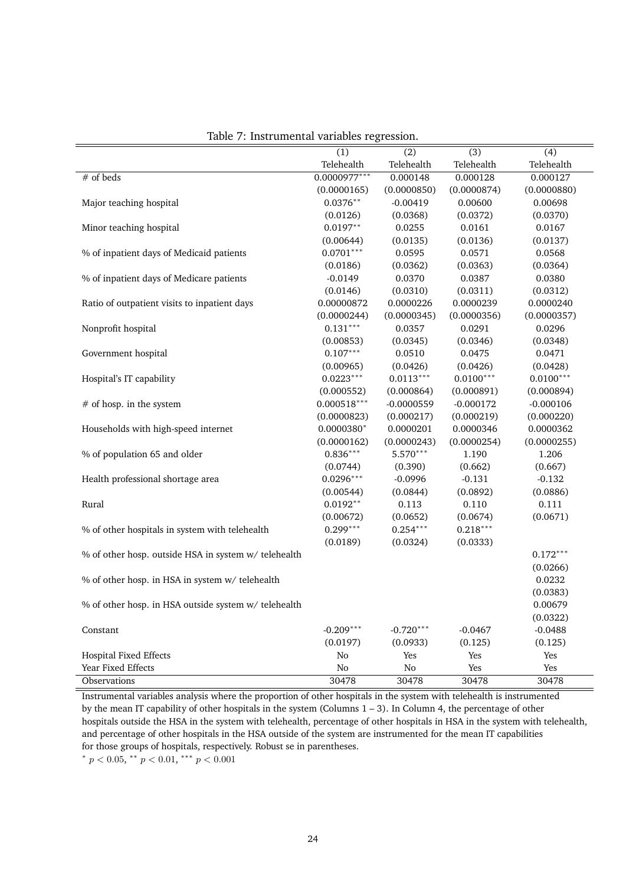|                                                      | (1)            | (2)          | (3)         | (4)         |
|------------------------------------------------------|----------------|--------------|-------------|-------------|
|                                                      | Telehealth     | Telehealth   | Telehealth  | Telehealth  |
| $#$ of beds                                          | $0.0000977***$ | 0.000148     | 0.000128    | 0.000127    |
|                                                      | (0.0000165)    | (0.0000850)  | (0.0000874) | (0.0000880) |
| Major teaching hospital                              | $0.0376**$     | $-0.00419$   | 0.00600     | 0.00698     |
|                                                      | (0.0126)       | (0.0368)     | (0.0372)    | (0.0370)    |
| Minor teaching hospital                              | $0.0197**$     | 0.0255       | 0.0161      | 0.0167      |
|                                                      | (0.00644)      | (0.0135)     | (0.0136)    | (0.0137)    |
| % of inpatient days of Medicaid patients             | $0.0701***$    | 0.0595       | 0.0571      | 0.0568      |
|                                                      | (0.0186)       | (0.0362)     | (0.0363)    | (0.0364)    |
| % of inpatient days of Medicare patients             | $-0.0149$      | 0.0370       | 0.0387      | 0.0380      |
|                                                      | (0.0146)       | (0.0310)     | (0.0311)    | (0.0312)    |
| Ratio of outpatient visits to inpatient days         | 0.00000872     | 0.0000226    | 0.0000239   | 0.0000240   |
|                                                      | (0.0000244)    | (0.0000345)  | (0.0000356) | (0.0000357) |
| Nonprofit hospital                                   | $0.131***$     | 0.0357       | 0.0291      | 0.0296      |
|                                                      | (0.00853)      | (0.0345)     | (0.0346)    | (0.0348)    |
| Government hospital                                  | $0.107***$     | 0.0510       | 0.0475      | 0.0471      |
|                                                      | (0.00965)      | (0.0426)     | (0.0426)    | (0.0428)    |
| Hospital's IT capability                             | $0.0223***$    | $0.0113***$  | $0.0100***$ | $0.0100***$ |
|                                                      | (0.000552)     | (0.000864)   | (0.000891)  | (0.000894)  |
| # of hosp. in the system                             | $0.000518***$  | $-0.0000559$ | $-0.000172$ | $-0.000106$ |
|                                                      | (0.0000823)    | (0.000217)   | (0.000219)  | (0.000220)  |
| Households with high-speed internet                  | $0.0000380*$   | 0.0000201    | 0.0000346   | 0.0000362   |
|                                                      | (0.0000162)    | (0.0000243)  | (0.0000254) | (0.0000255) |
| % of population 65 and older                         | $0.836***$     | 5.570***     | 1.190       | 1.206       |
|                                                      | (0.0744)       | (0.390)      | (0.662)     | (0.667)     |
| Health professional shortage area                    | $0.0296***$    | $-0.0996$    | $-0.131$    | $-0.132$    |
|                                                      | (0.00544)      | (0.0844)     | (0.0892)    | (0.0886)    |
| Rural                                                | $0.0192**$     | 0.113        | 0.110       | 0.111       |
|                                                      | (0.00672)      | (0.0652)     | (0.0674)    | (0.0671)    |
| % of other hospitals in system with telehealth       | $0.299***$     | $0.254***$   | $0.218***$  |             |
|                                                      | (0.0189)       | (0.0324)     | (0.0333)    |             |
| % of other hosp. outside HSA in system w/ telehealth |                |              |             | $0.172***$  |
|                                                      |                |              |             | (0.0266)    |
| % of other hosp. in HSA in system w/telehealth       |                |              |             | 0.0232      |
|                                                      |                |              |             | (0.0383)    |
| % of other hosp. in HSA outside system w/ telehealth |                |              |             | 0.00679     |
|                                                      |                |              |             | (0.0322)    |
| Constant                                             | $-0.209***$    | $-0.720***$  | $-0.0467$   | $-0.0488$   |
|                                                      | (0.0197)       | (0.0933)     | (0.125)     | (0.125)     |
| <b>Hospital Fixed Effects</b>                        | No             | Yes          | Yes         | Yes         |
| Year Fixed Effects                                   | No             | No           | Yes         | Yes         |
| Observations                                         | 30478          | 30478        | 30478       | 30478       |

Table 7: Instrumental variables regression.

Instrumental variables analysis where the proportion of other hospitals in the system with telehealth is instrumented by the mean IT capability of other hospitals in the system (Columns 1 – 3). In Column 4, the percentage of other hospitals outside the HSA in the system with telehealth, percentage of other hospitals in HSA in the system with telehealth, and percentage of other hospitals in the HSA outside of the system are instrumented for the mean IT capabilities for those groups of hospitals, respectively. Robust se in parentheses.

\*  $p < 0.05$ , \*\*  $p < 0.01$ , \*\*\*  $p < 0.001$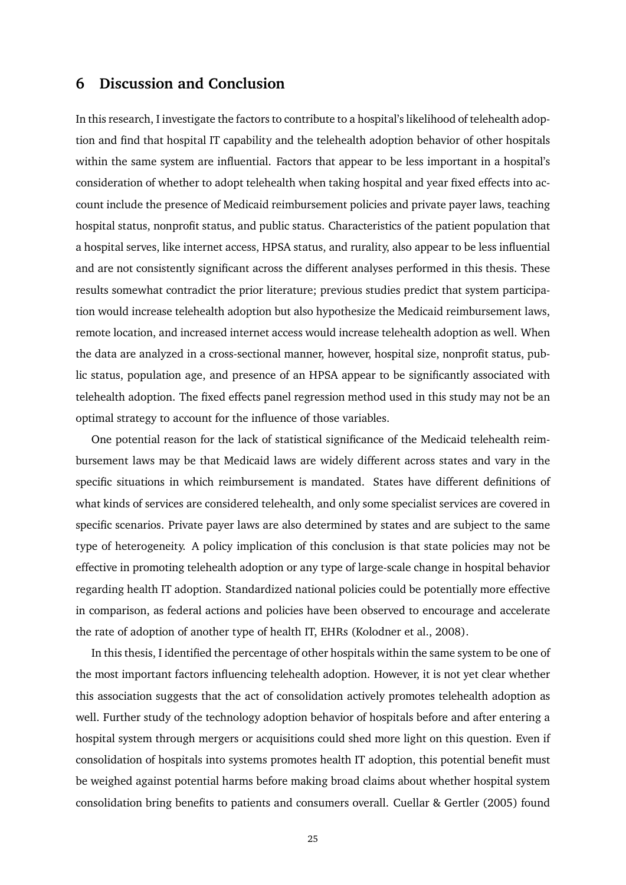## <span id="page-27-0"></span>**6 Discussion and Conclusion**

In this research, I investigate the factors to contribute to a hospital's likelihood of telehealth adoption and find that hospital IT capability and the telehealth adoption behavior of other hospitals within the same system are influential. Factors that appear to be less important in a hospital's consideration of whether to adopt telehealth when taking hospital and year fixed effects into account include the presence of Medicaid reimbursement policies and private payer laws, teaching hospital status, nonprofit status, and public status. Characteristics of the patient population that a hospital serves, like internet access, HPSA status, and rurality, also appear to be less influential and are not consistently significant across the different analyses performed in this thesis. These results somewhat contradict the prior literature; previous studies predict that system participation would increase telehealth adoption but also hypothesize the Medicaid reimbursement laws, remote location, and increased internet access would increase telehealth adoption as well. When the data are analyzed in a cross-sectional manner, however, hospital size, nonprofit status, public status, population age, and presence of an HPSA appear to be significantly associated with telehealth adoption. The fixed effects panel regression method used in this study may not be an optimal strategy to account for the influence of those variables.

One potential reason for the lack of statistical significance of the Medicaid telehealth reimbursement laws may be that Medicaid laws are widely different across states and vary in the specific situations in which reimbursement is mandated. States have different definitions of what kinds of services are considered telehealth, and only some specialist services are covered in specific scenarios. Private payer laws are also determined by states and are subject to the same type of heterogeneity. A policy implication of this conclusion is that state policies may not be effective in promoting telehealth adoption or any type of large-scale change in hospital behavior regarding health IT adoption. Standardized national policies could be potentially more effective in comparison, as federal actions and policies have been observed to encourage and accelerate the rate of adoption of another type of health IT, EHRs (Kolodner et al., 2008).

In this thesis, I identified the percentage of other hospitals within the same system to be one of the most important factors influencing telehealth adoption. However, it is not yet clear whether this association suggests that the act of consolidation actively promotes telehealth adoption as well. Further study of the technology adoption behavior of hospitals before and after entering a hospital system through mergers or acquisitions could shed more light on this question. Even if consolidation of hospitals into systems promotes health IT adoption, this potential benefit must be weighed against potential harms before making broad claims about whether hospital system consolidation bring benefits to patients and consumers overall. Cuellar & Gertler (2005) found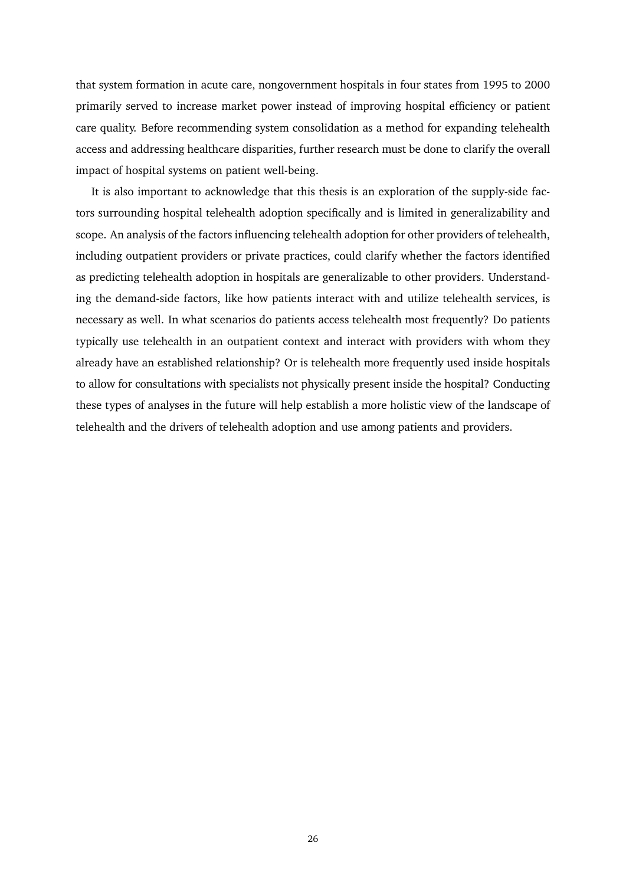that system formation in acute care, nongovernment hospitals in four states from 1995 to 2000 primarily served to increase market power instead of improving hospital efficiency or patient care quality. Before recommending system consolidation as a method for expanding telehealth access and addressing healthcare disparities, further research must be done to clarify the overall impact of hospital systems on patient well-being.

It is also important to acknowledge that this thesis is an exploration of the supply-side factors surrounding hospital telehealth adoption specifically and is limited in generalizability and scope. An analysis of the factors influencing telehealth adoption for other providers of telehealth, including outpatient providers or private practices, could clarify whether the factors identified as predicting telehealth adoption in hospitals are generalizable to other providers. Understanding the demand-side factors, like how patients interact with and utilize telehealth services, is necessary as well. In what scenarios do patients access telehealth most frequently? Do patients typically use telehealth in an outpatient context and interact with providers with whom they already have an established relationship? Or is telehealth more frequently used inside hospitals to allow for consultations with specialists not physically present inside the hospital? Conducting these types of analyses in the future will help establish a more holistic view of the landscape of telehealth and the drivers of telehealth adoption and use among patients and providers.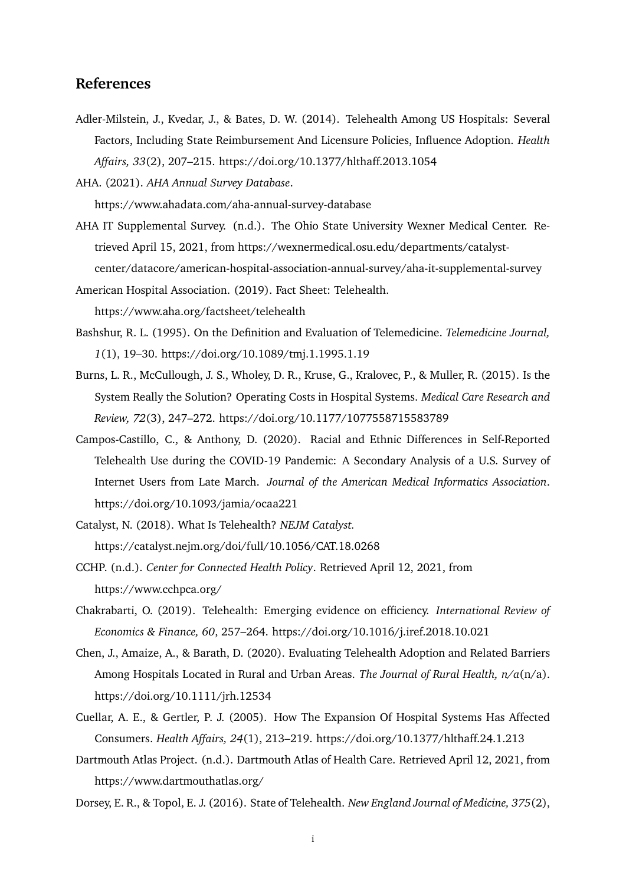## **References**

Adler-Milstein, J., Kvedar, J., & Bates, D. W. (2014). Telehealth Among US Hospitals: Several Factors, Including State Reimbursement And Licensure Policies, Influence Adoption. *Health Affairs, 33*(2), 207–215. https://doi.org/10.1377/hlthaff.2013.1054

AHA. (2021). *AHA Annual Survey Database*. https://www.ahadata.com/aha-annual-survey-database

AHA IT Supplemental Survey. (n.d.). The Ohio State University Wexner Medical Center. Retrieved April 15, 2021, from https://wexnermedical.osu.edu/departments/catalystcenter/datacore/american-hospital-association-annual-survey/aha-it-supplemental-survey

American Hospital Association. (2019). Fact Sheet: Telehealth. https://www.aha.org/factsheet/telehealth

- Bashshur, R. L. (1995). On the Definition and Evaluation of Telemedicine. *Telemedicine Journal, 1*(1), 19–30. https://doi.org/10.1089/tmj.1.1995.1.19
- Burns, L. R., McCullough, J. S., Wholey, D. R., Kruse, G., Kralovec, P., & Muller, R. (2015). Is the System Really the Solution? Operating Costs in Hospital Systems. *Medical Care Research and Review, 72*(3), 247–272. https://doi.org/10.1177/1077558715583789
- Campos-Castillo, C., & Anthony, D. (2020). Racial and Ethnic Differences in Self-Reported Telehealth Use during the COVID-19 Pandemic: A Secondary Analysis of a U.S. Survey of Internet Users from Late March. *Journal of the American Medical Informatics Association*. https://doi.org/10.1093/jamia/ocaa221
- Catalyst, N. (2018). What Is Telehealth? *NEJM Catalyst.* https://catalyst.nejm.org/doi/full/10.1056/CAT.18.0268
- CCHP. (n.d.). *Center for Connected Health Policy*. Retrieved April 12, 2021, from https://www.cchpca.org/
- Chakrabarti, O. (2019). Telehealth: Emerging evidence on efficiency. *International Review of Economics & Finance, 60*, 257–264. https://doi.org/10.1016/j.iref.2018.10.021
- Chen, J., Amaize, A., & Barath, D. (2020). Evaluating Telehealth Adoption and Related Barriers Among Hospitals Located in Rural and Urban Areas. *The Journal of Rural Health, n/a*(n/a). https://doi.org/10.1111/jrh.12534
- Cuellar, A. E., & Gertler, P. J. (2005). How The Expansion Of Hospital Systems Has Affected Consumers. *Health Affairs, 24*(1), 213–219. https://doi.org/10.1377/hlthaff.24.1.213
- Dartmouth Atlas Project. (n.d.). Dartmouth Atlas of Health Care. Retrieved April 12, 2021, from https://www.dartmouthatlas.org/

Dorsey, E. R., & Topol, E. J. (2016). State of Telehealth. *New England Journal of Medicine, 375*(2),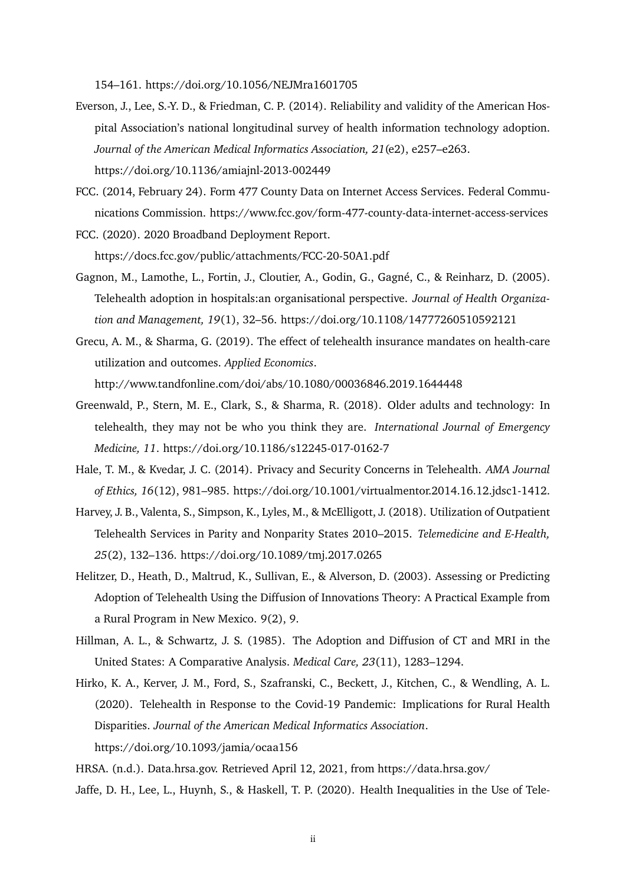154–161. https://doi.org/10.1056/NEJMra1601705

- Everson, J., Lee, S.-Y. D., & Friedman, C. P. (2014). Reliability and validity of the American Hospital Association's national longitudinal survey of health information technology adoption. *Journal of the American Medical Informatics Association, 21*(e2), e257–e263. https://doi.org/10.1136/amiajnl-2013-002449
- FCC. (2014, February 24). Form 477 County Data on Internet Access Services. Federal Communications Commission. https://www.fcc.gov/form-477-county-data-internet-access-services
- FCC. (2020). 2020 Broadband Deployment Report. https://docs.fcc.gov/public/attachments/FCC-20-50A1.pdf
- Gagnon, M., Lamothe, L., Fortin, J., Cloutier, A., Godin, G., Gagné, C., & Reinharz, D. (2005). Telehealth adoption in hospitals:an organisational perspective. *Journal of Health Organization and Management, 19*(1), 32–56. https://doi.org/10.1108/14777260510592121
- Grecu, A. M., & Sharma, G. (2019). The effect of telehealth insurance mandates on health-care utilization and outcomes. *Applied Economics*.

http://www.tandfonline.com/doi/abs/10.1080/00036846.2019.1644448

- Greenwald, P., Stern, M. E., Clark, S., & Sharma, R. (2018). Older adults and technology: In telehealth, they may not be who you think they are. *International Journal of Emergency Medicine, 11*. https://doi.org/10.1186/s12245-017-0162-7
- Hale, T. M., & Kvedar, J. C. (2014). Privacy and Security Concerns in Telehealth. *AMA Journal of Ethics, 16*(12), 981–985. https://doi.org/10.1001/virtualmentor.2014.16.12.jdsc1-1412.
- Harvey, J. B., Valenta, S., Simpson, K., Lyles, M., & McElligott, J. (2018). Utilization of Outpatient Telehealth Services in Parity and Nonparity States 2010–2015. *Telemedicine and E-Health, 25*(2), 132–136. https://doi.org/10.1089/tmj.2017.0265
- Helitzer, D., Heath, D., Maltrud, K., Sullivan, E., & Alverson, D. (2003). Assessing or Predicting Adoption of Telehealth Using the Diffusion of Innovations Theory: A Practical Example from a Rural Program in New Mexico. 9(2), 9.
- Hillman, A. L., & Schwartz, J. S. (1985). The Adoption and Diffusion of CT and MRI in the United States: A Comparative Analysis. *Medical Care, 23*(11), 1283–1294.
- Hirko, K. A., Kerver, J. M., Ford, S., Szafranski, C., Beckett, J., Kitchen, C., & Wendling, A. L. (2020). Telehealth in Response to the Covid-19 Pandemic: Implications for Rural Health Disparities. *Journal of the American Medical Informatics Association*. https://doi.org/10.1093/jamia/ocaa156

HRSA. (n.d.). Data.hrsa.gov. Retrieved April 12, 2021, from https://data.hrsa.gov/

Jaffe, D. H., Lee, L., Huynh, S., & Haskell, T. P. (2020). Health Inequalities in the Use of Tele-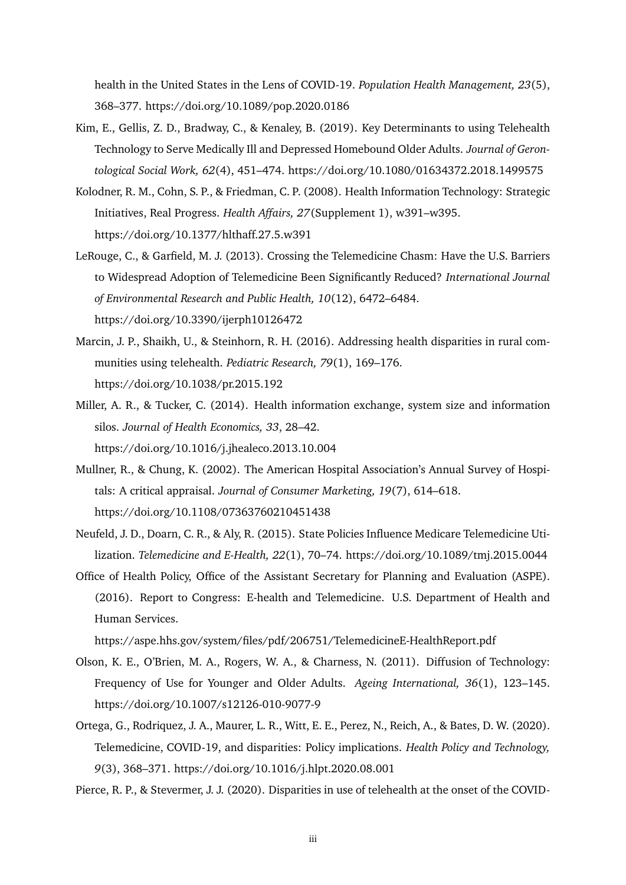health in the United States in the Lens of COVID-19. *Population Health Management, 23*(5), 368–377. https://doi.org/10.1089/pop.2020.0186

- Kim, E., Gellis, Z. D., Bradway, C., & Kenaley, B. (2019). Key Determinants to using Telehealth Technology to Serve Medically Ill and Depressed Homebound Older Adults. *Journal of Gerontological Social Work, 62*(4), 451–474. https://doi.org/10.1080/01634372.2018.1499575
- Kolodner, R. M., Cohn, S. P., & Friedman, C. P. (2008). Health Information Technology: Strategic Initiatives, Real Progress. *Health Affairs, 27*(Supplement 1), w391–w395. https://doi.org/10.1377/hlthaff.27.5.w391
- LeRouge, C., & Garfield, M. J. (2013). Crossing the Telemedicine Chasm: Have the U.S. Barriers to Widespread Adoption of Telemedicine Been Significantly Reduced? *International Journal of Environmental Research and Public Health, 10*(12), 6472–6484. https://doi.org/10.3390/ijerph10126472
- Marcin, J. P., Shaikh, U., & Steinhorn, R. H. (2016). Addressing health disparities in rural communities using telehealth. *Pediatric Research, 79*(1), 169–176. https://doi.org/10.1038/pr.2015.192
- Miller, A. R., & Tucker, C. (2014). Health information exchange, system size and information silos. *Journal of Health Economics, 33*, 28–42. https://doi.org/10.1016/j.jhealeco.2013.10.004
- Mullner, R., & Chung, K. (2002). The American Hospital Association's Annual Survey of Hospitals: A critical appraisal. *Journal of Consumer Marketing, 19*(7), 614–618. https://doi.org/10.1108/07363760210451438
- Neufeld, J. D., Doarn, C. R., & Aly, R. (2015). State Policies Influence Medicare Telemedicine Utilization. *Telemedicine and E-Health, 22*(1), 70–74. https://doi.org/10.1089/tmj.2015.0044
- Office of Health Policy, Office of the Assistant Secretary for Planning and Evaluation (ASPE). (2016). Report to Congress: E-health and Telemedicine. U.S. Department of Health and Human Services.

https://aspe.hhs.gov/system/files/pdf/206751/TelemedicineE-HealthReport.pdf

- Olson, K. E., O'Brien, M. A., Rogers, W. A., & Charness, N. (2011). Diffusion of Technology: Frequency of Use for Younger and Older Adults. *Ageing International, 36*(1), 123–145. https://doi.org/10.1007/s12126-010-9077-9
- Ortega, G., Rodriquez, J. A., Maurer, L. R., Witt, E. E., Perez, N., Reich, A., & Bates, D. W. (2020). Telemedicine, COVID-19, and disparities: Policy implications. *Health Policy and Technology, 9*(3), 368–371. https://doi.org/10.1016/j.hlpt.2020.08.001

Pierce, R. P., & Stevermer, J. J. (2020). Disparities in use of telehealth at the onset of the COVID-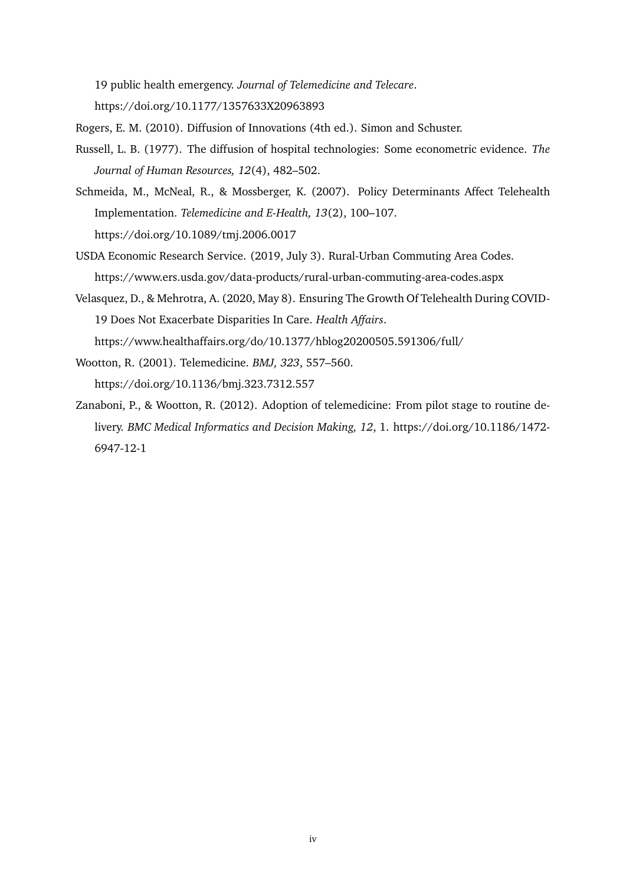19 public health emergency. *Journal of Telemedicine and Telecare*. https://doi.org/10.1177/1357633X20963893

Rogers, E. M. (2010). Diffusion of Innovations (4th ed.). Simon and Schuster.

- Russell, L. B. (1977). The diffusion of hospital technologies: Some econometric evidence. *The Journal of Human Resources, 12*(4), 482–502.
- Schmeida, M., McNeal, R., & Mossberger, K. (2007). Policy Determinants Affect Telehealth Implementation. *Telemedicine and E-Health, 13*(2), 100–107. https://doi.org/10.1089/tmj.2006.0017
- USDA Economic Research Service. (2019, July 3). Rural-Urban Commuting Area Codes. https://www.ers.usda.gov/data-products/rural-urban-commuting-area-codes.aspx
- Velasquez, D., & Mehrotra, A. (2020, May 8). Ensuring The Growth Of Telehealth During COVID-19 Does Not Exacerbate Disparities In Care. *Health Affairs*. https://www.healthaffairs.org/do/10.1377/hblog20200505.591306/full/
- Wootton, R. (2001). Telemedicine. *BMJ, 323*, 557–560.

https://doi.org/10.1136/bmj.323.7312.557

Zanaboni, P., & Wootton, R. (2012). Adoption of telemedicine: From pilot stage to routine delivery. *BMC Medical Informatics and Decision Making, 12*, 1. https://doi.org/10.1186/1472- 6947-12-1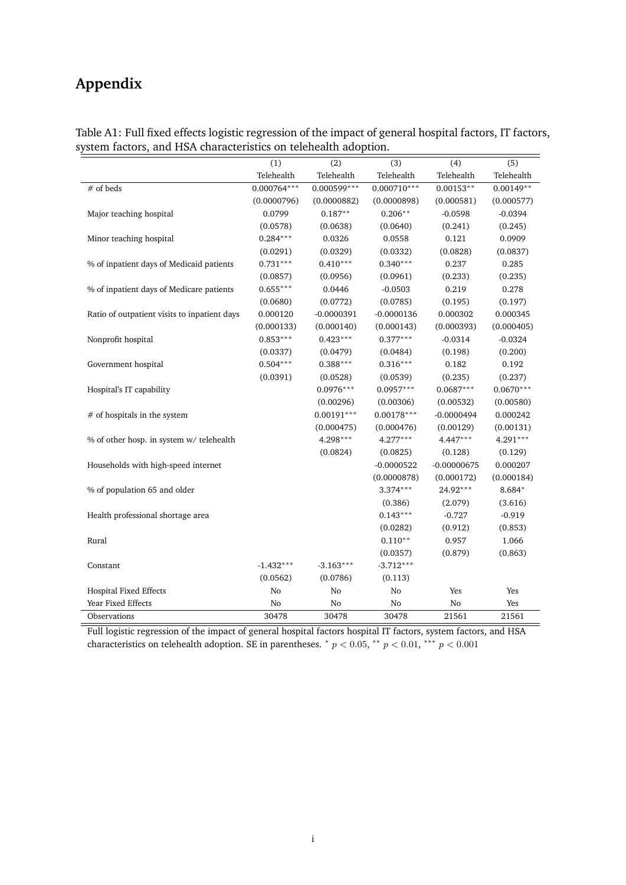## <span id="page-33-0"></span>**Appendix**

|                                                                                                                                   | (1)            | (2)           | (3)           | (4)           | (5)         |
|-----------------------------------------------------------------------------------------------------------------------------------|----------------|---------------|---------------|---------------|-------------|
|                                                                                                                                   | Telehealth     | Telehealth    | Telehealth    | Telehealth    | Telehealth  |
| # of beds                                                                                                                         | $0.000764***$  | $0.000599***$ | $0.000710***$ | $0.00153**$   | $0.00149**$ |
|                                                                                                                                   | (0.0000796)    | (0.0000882)   | (0.0000898)   | (0.000581)    | (0.000577)  |
| Major teaching hospital                                                                                                           | 0.0799         | $0.187**$     | $0.206**$     | $-0.0598$     | $-0.0394$   |
|                                                                                                                                   | (0.0578)       | (0.0638)      | (0.0640)      | (0.241)       | (0.245)     |
| Minor teaching hospital                                                                                                           | $0.284***$     | 0.0326        | 0.0558        | 0.121         | 0.0909      |
|                                                                                                                                   | (0.0291)       | (0.0329)      | (0.0332)      | (0.0828)      | (0.0837)    |
| % of inpatient days of Medicaid patients                                                                                          | $0.731***$     | $0.410***$    | $0.340***$    | 0.237         | 0.285       |
|                                                                                                                                   | (0.0857)       | (0.0956)      | (0.0961)      | (0.233)       | (0.235)     |
| % of inpatient days of Medicare patients                                                                                          | $0.655***$     | 0.0446        | $-0.0503$     | 0.219         | 0.278       |
|                                                                                                                                   | (0.0680)       | (0.0772)      | (0.0785)      | (0.195)       | (0.197)     |
| Ratio of outpatient visits to inpatient days                                                                                      | 0.000120       | $-0.0000391$  | $-0.0000136$  | 0.000302      | 0.000345    |
|                                                                                                                                   | (0.000133)     | (0.000140)    | (0.000143)    | (0.000393)    | (0.000405)  |
| Nonprofit hospital                                                                                                                | $0.853***$     | $0.423***$    | $0.377***$    | $-0.0314$     | $-0.0324$   |
|                                                                                                                                   | (0.0337)       | (0.0479)      | (0.0484)      | (0.198)       | (0.200)     |
| Government hospital                                                                                                               | $0.504***$     | $0.388***$    | $0.316***$    | 0.182         | 0.192       |
|                                                                                                                                   | (0.0391)       | (0.0528)      | (0.0539)      | (0.235)       | (0.237)     |
| Hospital's IT capability                                                                                                          |                | $0.0976***$   | $0.0957***$   | $0.0687***$   | $0.0670***$ |
|                                                                                                                                   |                | (0.00296)     | (0.00306)     | (0.00532)     | (0.00580)   |
| $#$ of hospitals in the system                                                                                                    |                | $0.00191***$  | $0.00178***$  | $-0.0000494$  | 0.000242    |
|                                                                                                                                   |                | (0.000475)    | (0.000476)    | (0.00129)     | (0.00131)   |
| % of other hosp. in system w/telehealth                                                                                           |                | $4.298***$    | $4.277***$    | $4.447***$    | $4.291***$  |
|                                                                                                                                   |                | (0.0824)      | (0.0825)      | (0.128)       | (0.129)     |
| Households with high-speed internet                                                                                               |                |               | $-0.0000522$  | $-0.00000675$ | 0.000207    |
|                                                                                                                                   |                |               | (0.0000878)   | (0.000172)    | (0.000184)  |
| % of population 65 and older                                                                                                      |                |               | $3.374***$    | $24.92***$    | 8.684*      |
|                                                                                                                                   |                |               | (0.386)       | (2.079)       | (3.616)     |
| Health professional shortage area                                                                                                 |                |               | $0.143***$    | $-0.727$      | $-0.919$    |
|                                                                                                                                   |                |               | (0.0282)      | (0.912)       | (0.853)     |
| Rural                                                                                                                             |                |               | $0.110**$     | 0.957         | 1.066       |
|                                                                                                                                   |                |               | (0.0357)      | (0.879)       | (0.863)     |
| Constant                                                                                                                          | $-1.432***$    | $-3.163***$   | $-3.712***$   |               |             |
|                                                                                                                                   | (0.0562)       | (0.0786)      | (0.113)       |               |             |
| <b>Hospital Fixed Effects</b>                                                                                                     | No             | No            | No            | Yes           | Yes         |
| Year Fixed Effects                                                                                                                | N <sub>o</sub> | No            | No            | No            | Yes         |
| Observations                                                                                                                      | 30478          | 30478         | 30478         | 21561         | 21561       |
| $\text{Full location}$ regression of the impact of coneral beguited factors beguited IT fectors, guatem factors, and $\text{HCA}$ |                |               |               |               |             |

Table A1: Full fixed effects logistic regression of the impact of general hospital factors, IT factors, system factors, and HSA characteristics on telehealth adoption.

Full logistic regression of the impact of general hospital factors hospital IT factors, system factors, and HSA characteristics on telehealth adoption. SE in parentheses.  $* p < 0.05$ ,  $* p < 0.01$ ,  $** p < 0.001$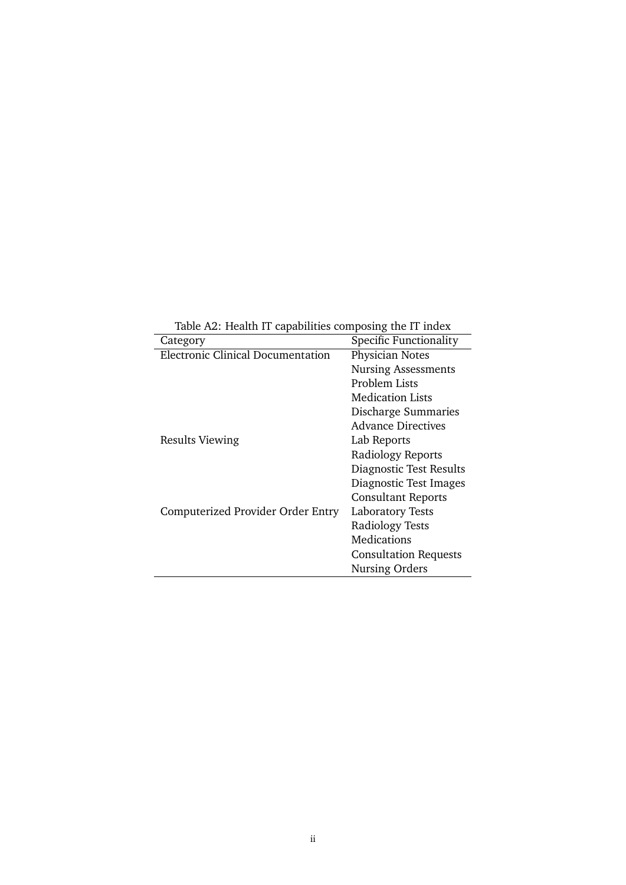Table A2: Health IT capabilities composing the IT index

| Category                          | Specific Functionality       |
|-----------------------------------|------------------------------|
| Electronic Clinical Documentation | Physician Notes              |
|                                   | <b>Nursing Assessments</b>   |
|                                   | Problem Lists                |
|                                   | Medication Lists             |
|                                   | Discharge Summaries          |
|                                   | <b>Advance Directives</b>    |
| <b>Results Viewing</b>            | Lab Reports                  |
|                                   | Radiology Reports            |
|                                   | Diagnostic Test Results      |
|                                   | Diagnostic Test Images       |
|                                   | <b>Consultant Reports</b>    |
| Computerized Provider Order Entry | Laboratory Tests             |
|                                   | <b>Radiology Tests</b>       |
|                                   | Medications                  |
|                                   | <b>Consultation Requests</b> |
|                                   | Nursing Orders               |